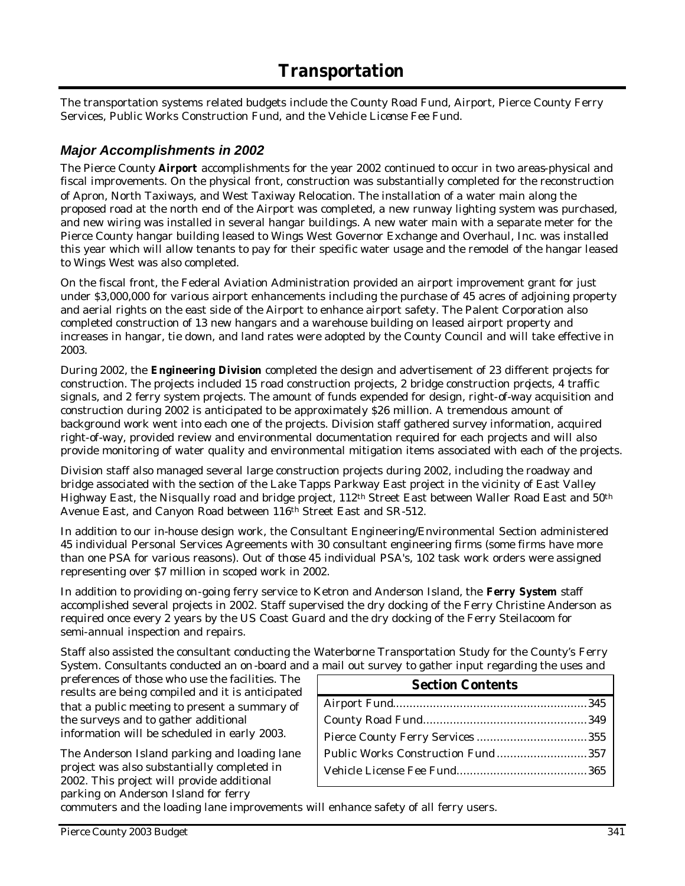# **Transportation**

The transportation systems related budgets include the County Road Fund, Airport, Pierce County Ferry Services, Public Works Construction Fund, and the Vehicle License Fee Fund.

### *Major Accomplishments in 2002*

The Pierce County **Airport** accomplishments for the year 2002 continued to occur in two areas-physical and fiscal improvements. On the physical front, construction was substantially completed for the reconstruction of Apron, North Taxiways, and West Taxiway Relocation. The installation of a water main along the proposed road at the north end of the Airport was completed, a new runway lighting system was purchased, and new wiring was installed in several hangar buildings. A new water main with a separate meter for the Pierce County hangar building leased to Wings West Governor Exchange and Overhaul, Inc. was installed this year which will allow tenants to pay for their specific water usage and the remodel of the hangar leased to Wings West was also completed.

On the fiscal front, the Federal Aviation Administration provided an airport improvement grant for just under \$3,000,000 for various airport enhancements including the purchase of 45 acres of adjoining property and aerial rights on the east side of the Airport to enhance airport safety. The Palent Corporation also completed construction of 13 new hangars and a warehouse building on leased airport property and increases in hangar, tie down, and land rates were adopted by the County Council and will take effective in 2003.

During 2002, the **Engineering Division** completed the design and advertisement of 23 different projects for construction. The projects included 15 road construction projects, 2 bridge construction projects, 4 traffic signals, and 2 ferry system projects. The amount of funds expended for design, right-of-way acquisition and construction during 2002 is anticipated to be approximately \$26 million. A tremendous amount of background work went into each one of the projects. Division staff gathered survey information, acquired right-of-way, provided review and environmental documentation required for each projects and will also provide monitoring of water quality and environmental mitigation items associated with each of the projects.

Division staff also managed several large construction projects during 2002, including the roadway and bridge associated with the section of the Lake Tapps Parkway East project in the vicinity of East Valley Highway East, the Nisqually road and bridge project, 112th Street East between Waller Road East and 50th Avenue East, and Canyon Road between 116th Street East and SR-512.

In addition to our in-house design work, the Consultant Engineering/Environmental Section administered 45 individual Personal Services Agreements with 30 consultant engineering firms (some firms have more than one PSA for various reasons). Out of those 45 individual PSA's, 102 task work orders were assigned representing over \$7 million in scoped work in 2002.

In addition to providing on-going ferry service to Ketron and Anderson Island, the **Ferry System** staff accomplished several projects in 2002. Staff supervised the dry docking of the Ferry Christine Anderson as required once every 2 years by the US Coast Guard and the dry docking of the Ferry Steilacoom for semi-annual inspection and repairs.

Staff also assisted the consultant conducting the Waterborne Transportation Study for the County's Ferry System. Consultants conducted an on -board and a mail out survey to gather input regarding the uses and

preferences of those who use the facilities. The results are being compiled and it is anticipated that a public meeting to present a summary of the surveys and to gather additional information will be scheduled in early 2003.

The Anderson Island parking and loading lane project was also substantially completed in 2002. This project will provide additional parking on Anderson Island for ferry

| $\ldots$ and $\ldots$ and $\ldots$ and $\ldots$ and $\ldots$ and $\ldots$ and $\ldots$ |  |  |  |  |  |  |  |
|----------------------------------------------------------------------------------------|--|--|--|--|--|--|--|
| <b>Section Contents</b>                                                                |  |  |  |  |  |  |  |
|                                                                                        |  |  |  |  |  |  |  |
|                                                                                        |  |  |  |  |  |  |  |
|                                                                                        |  |  |  |  |  |  |  |
| Public Works Construction Fund357                                                      |  |  |  |  |  |  |  |
|                                                                                        |  |  |  |  |  |  |  |
|                                                                                        |  |  |  |  |  |  |  |

commuters and the loading lane improvements will enhance safety of all ferry users.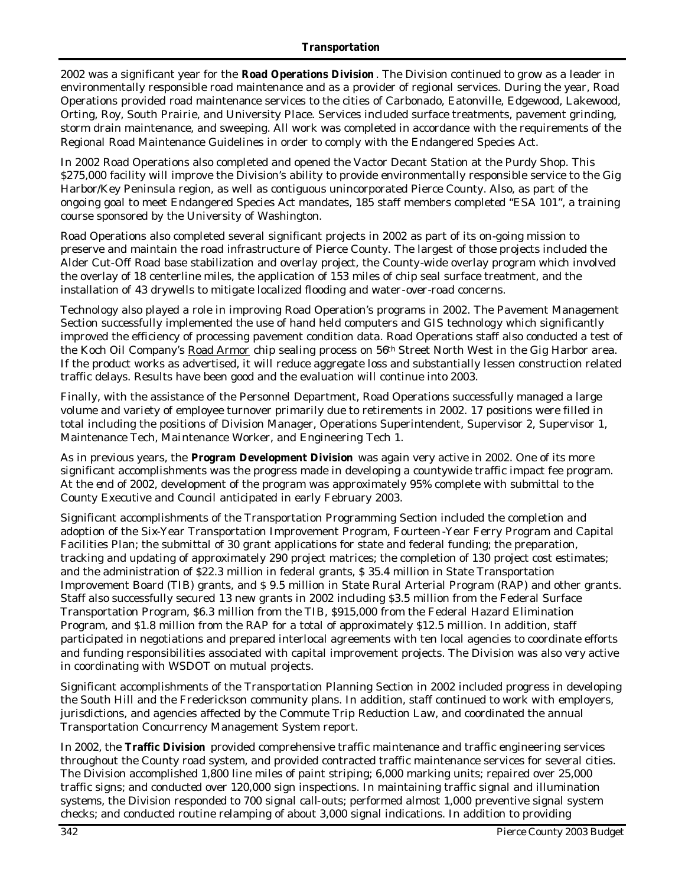2002 was a significant year for the **Road Operations Division** . The Division continued to grow as a leader in environmentally responsible road maintenance and as a provider of regional services. During the year, Road Operations provided road maintenance services to the cities of Carbonado, Eatonville, Edgewood, Lakewood, Orting, Roy, South Prairie, and University Place. Services included surface treatments, pavement grinding, storm drain maintenance, and sweeping. All work was completed in accordance with the requirements of the Regional Road Maintenance Guidelines in order to comply with the Endangered Species Act.

In 2002 Road Operations also completed and opened the Vactor Decant Station at the Purdy Shop. This \$275,000 facility will improve the Division's ability to provide environmentally responsible service to the Gig Harbor/Key Peninsula region, as well as contiguous unincorporated Pierce County. Also, as part of the ongoing goal to meet Endangered Species Act mandates, 185 staff members completed "ESA 101", a training course sponsored by the University of Washington.

Road Operations also completed several significant projects in 2002 as part of its on-going mission to preserve and maintain the road infrastructure of Pierce County. The largest of those projects included the Alder Cut-Off Road base stabilization and overlay project, the County-wide overlay program which involved the overlay of 18 centerline miles, the application of 153 miles of chip seal surface treatment, and the installation of 43 drywells to mitigate localized flooding and water-over-road concerns.

Technology also played a role in improving Road Operation's programs in 2002. The Pavement Management Section successfully implemented the use of hand held computers and GIS technology which significantly improved the efficiency of processing pavement condition data. Road Operations staff also conducted a test of the Koch Oil Company's Road Armor chip sealing process on 56<sup>th</sup> Street North West in the Gig Harbor area. If the product works as advertised, it will reduce aggregate loss and substantially lessen construction related traffic delays. Results have been good and the evaluation will continue into 2003.

Finally, with the assistance of the Personnel Department, Road Operations successfully managed a large volume and variety of employee turnover primarily due to retirements in 2002. 17 positions were filled in total including the positions of Division Manager, Operations Superintendent, Supervisor 2, Supervisor 1, Maintenance Tech, Maintenance Worker, and Engineering Tech 1.

As in previous years, the **Program Development Division** was again very active in 2002. One of its more significant accomplishments was the progress made in developing a countywide traffic impact fee program. At the end of 2002, development of the program was approximately 95% complete with submittal to the County Executive and Council anticipated in early February 2003.

Significant accomplishments of the Transportation Programming Section included the completion and adoption of the Six-Year Transportation Improvement Program, Fourteen -Year Ferry Program and Capital Facilities Plan; the submittal of 30 grant applications for state and federal funding; the preparation, tracking and updating of approximately 290 project matrices; the completion of 130 project cost estimates; and the administration of \$22.3 million in federal grants, \$ 35.4 million in State Transportation Improvement Board (TIB) grants, and \$ 9.5 million in State Rural Arterial Program (RAP) and other grants. Staff also successfully secured 13 new grants in 2002 including \$3.5 million from the Federal Surface Transportation Program, \$6.3 million from the TIB, \$915,000 from the Federal Hazard Elimination Program, and \$1.8 million from the RAP for a total of approximately \$12.5 million. In addition, staff participated in negotiations and prepared interlocal agreements with ten local agencies to coordinate efforts and funding responsibilities associated with capital improvement projects. The Division was also very active in coordinating with WSDOT on mutual projects.

Significant accomplishments of the Transportation Planning Section in 2002 included progress in developing the South Hill and the Frederickson community plans. In addition, staff continued to work with employers, jurisdictions, and agencies affected by the Commute Trip Reduction Law, and coordinated the annual Transportation Concurrency Management System report.

In 2002, the **Traffic Division** provided comprehensive traffic maintenance and traffic engineering services throughout the County road system, and provided contracted traffic maintenance services for several cities. The Division accomplished 1,800 line miles of paint striping; 6,000 marking units; repaired over 25,000 traffic signs; and conducted over 120,000 sign inspections. In maintaining traffic signal and illumination systems, the Division responded to 700 signal call-outs; performed almost 1,000 preventive signal system checks; and conducted routine relamping of about 3,000 signal indications. In addition to providing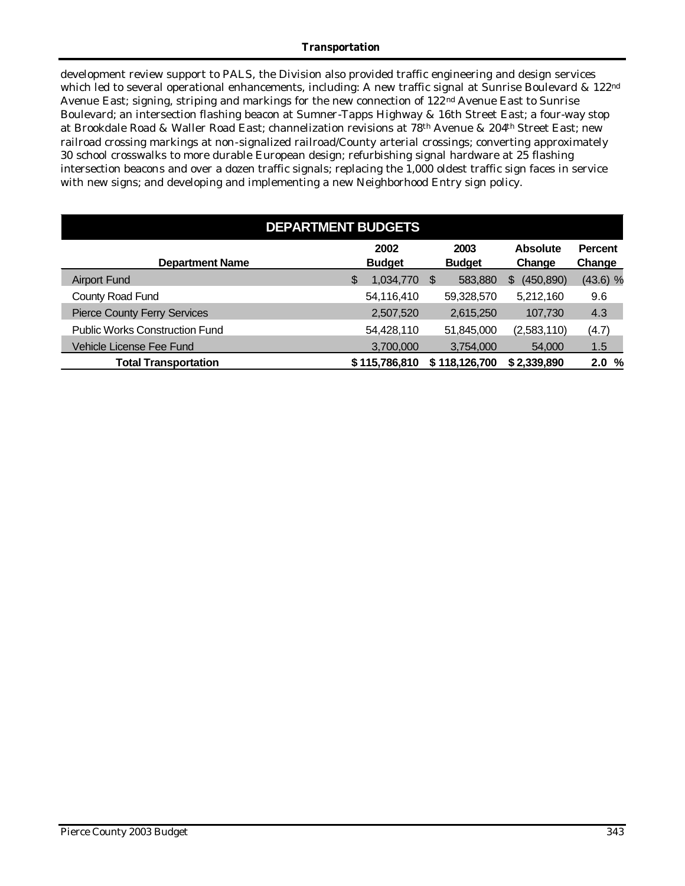#### *Transportation*

development review support to PALS, the Division also provided traffic engineering and design services which led to several operational enhancements, including: A new traffic signal at Sunrise Boulevard & 122<sup>nd</sup> Avenue East; signing, striping and markings for the new connection of 122nd Avenue East to Sunrise Boulevard; an intersection flashing beacon at Sumner-Tapps Highway & 16th Street East; a four-way stop at Brookdale Road & Waller Road East; channelization revisions at 78th Avenue & 204th Street East; new railroad crossing markings at non-signalized railroad/County arterial crossings; converting approximately 30 school crosswalks to more durable European design; refurbishing signal hardware at 25 flashing intersection beacons and over a dozen traffic signals; replacing the 1,000 oldest traffic sign faces in service with new signs; and developing and implementing a new Neighborhood Entry sign policy.

| <b>DEPARTMENT BUDGETS</b>             |   |                       |   |                       |                           |                          |  |  |  |  |  |
|---------------------------------------|---|-----------------------|---|-----------------------|---------------------------|--------------------------|--|--|--|--|--|
| <b>Department Name</b>                |   | 2002<br><b>Budget</b> |   | 2003<br><b>Budget</b> | <b>Absolute</b><br>Change | <b>Percent</b><br>Change |  |  |  |  |  |
| <b>Airport Fund</b>                   | S | 1,034,770             | S | 583,880               | (450, 890)<br>S           | $(43.6)$ %               |  |  |  |  |  |
| County Road Fund                      |   | 54,116,410            |   | 59,328,570            | 5,212,160                 | 9.6                      |  |  |  |  |  |
| <b>Pierce County Ferry Services</b>   |   | 2,507,520             |   | 2,615,250             | 107.730                   | 4.3                      |  |  |  |  |  |
| <b>Public Works Construction Fund</b> |   | 54,428,110            |   | 51,845,000            | (2,583,110)               | (4.7)                    |  |  |  |  |  |
| Vehicle License Fee Fund              |   | 3,700,000             |   | 3,754,000             | 54,000                    | 1.5                      |  |  |  |  |  |
| <b>Total Transportation</b>           |   | \$115,786,810         |   | \$118,126,700         | \$2,339,890               | 2.0%                     |  |  |  |  |  |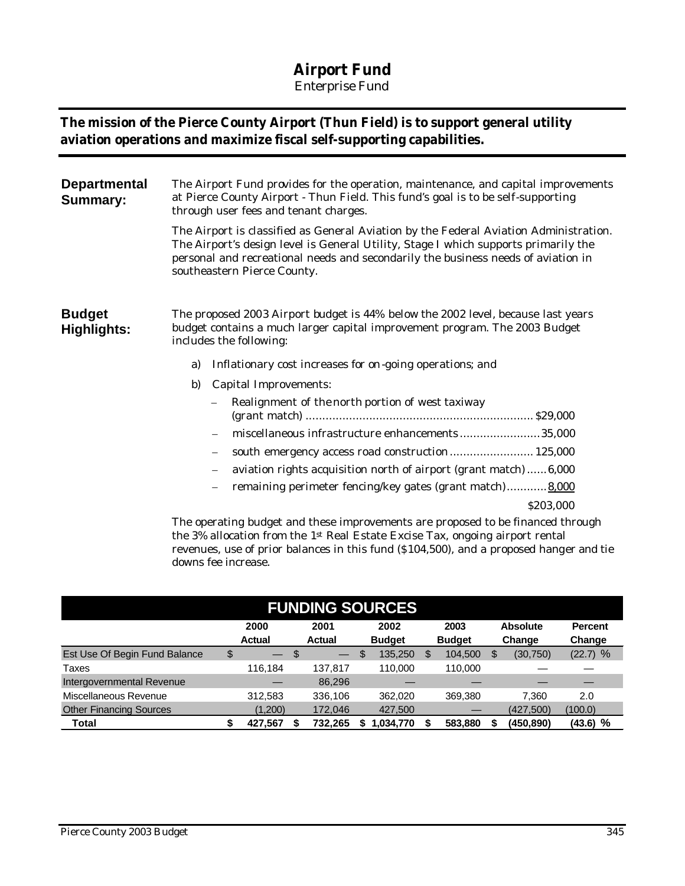## **Airport Fund**

*Enterprise Fund*

## **The mission of the Pierce County Airport (Thun Field) is to support general utility aviation operations and maximize fiscal self-supporting capabilities.**

| <b>Departmental</b><br><b>Summary:</b> | The Airport Fund provides for the operation, maintenance, and capital improvements<br>at Pierce County Airport - Thun Field. This fund's goal is to be self-supporting<br>through user fees and tenant charges.                                                                                                  |  |  |  |  |  |  |  |  |
|----------------------------------------|------------------------------------------------------------------------------------------------------------------------------------------------------------------------------------------------------------------------------------------------------------------------------------------------------------------|--|--|--|--|--|--|--|--|
|                                        | The Airport is classified as General Aviation by the Federal Aviation Administration.<br>The Airport's design level is General Utility, Stage I which supports primarily the<br>personal and recreational needs and secondarily the business needs of aviation in<br>southeastern Pierce County.                 |  |  |  |  |  |  |  |  |
| <b>Budget</b><br>Highlights:           | The proposed 2003 Airport budget is 44% below the 2002 level, because last years<br>budget contains a much larger capital improvement program. The 2003 Budget<br>includes the following:                                                                                                                        |  |  |  |  |  |  |  |  |
|                                        | Inflationary cost increases for on-going operations; and<br>a)                                                                                                                                                                                                                                                   |  |  |  |  |  |  |  |  |
|                                        | <b>Capital Improvements:</b><br>b)                                                                                                                                                                                                                                                                               |  |  |  |  |  |  |  |  |
|                                        | Realignment of the north portion of west taxiway                                                                                                                                                                                                                                                                 |  |  |  |  |  |  |  |  |
|                                        | miscellaneous infrastructure enhancements35,000                                                                                                                                                                                                                                                                  |  |  |  |  |  |  |  |  |
|                                        | south emergency access road construction 125,000                                                                                                                                                                                                                                                                 |  |  |  |  |  |  |  |  |
|                                        | aviation rights acquisition north of airport (grant match)6,000                                                                                                                                                                                                                                                  |  |  |  |  |  |  |  |  |
|                                        | remaining perimeter fencing/key gates (grant match) 8,000                                                                                                                                                                                                                                                        |  |  |  |  |  |  |  |  |
|                                        | \$203,000                                                                                                                                                                                                                                                                                                        |  |  |  |  |  |  |  |  |
|                                        | The operating budget and these improvements are proposed to be financed through<br>$\mathbf{u} = \mathbf{v}$ , $\mathbf{u} = \mathbf{v}$ , $\mathbf{u} = \mathbf{v}$ , $\mathbf{u} = \mathbf{v}$ , $\mathbf{u} = \mathbf{v}$ , $\mathbf{v} = \mathbf{v}$ , $\mathbf{u} = \mathbf{v}$ , $\mathbf{u} = \mathbf{v}$ |  |  |  |  |  |  |  |  |

the 3% allocation from the 1st Real Estate Excise Tax, ongoing airport rental revenues, use of prior balances in this fund (\$104,500), and a proposed hanger and tie downs fee increase.

| <b>FUNDING SOURCES</b>         |              |               |    |               |    |               |    |               |                 |           |                |
|--------------------------------|--------------|---------------|----|---------------|----|---------------|----|---------------|-----------------|-----------|----------------|
|                                | 2000<br>2001 |               |    |               |    | 2002          |    | 2003          | <b>Absolute</b> |           | <b>Percent</b> |
|                                |              | <b>Actual</b> |    | <b>Actual</b> |    | <b>Budget</b> |    | <b>Budget</b> |                 | Change    | Change         |
| Est Use Of Begin Fund Balance  | \$           |               | \$ |               | \$ | 135,250       | \$ | 104,500       | S               | (30, 750) | $(22.7)$ %     |
| Taxes                          |              | 116.184       |    | 137.817       |    | 110.000       |    | 110.000       |                 |           |                |
| Intergovernmental Revenue      |              |               |    | 86.296        |    |               |    |               |                 |           |                |
| Miscellaneous Revenue          |              | 312,583       |    | 336.106       |    | 362.020       |    | 369,380       |                 | 7.360     | 2.0            |
| <b>Other Financing Sources</b> |              | (1,200)       |    | 172,046       |    | 427,500       |    |               |                 | (427,500) | (100.0)        |
| Total                          |              | 427,567       |    | 732,265       |    | 1,034,770     |    | 583,880       |                 | (450,890) | $(43.6)$ %     |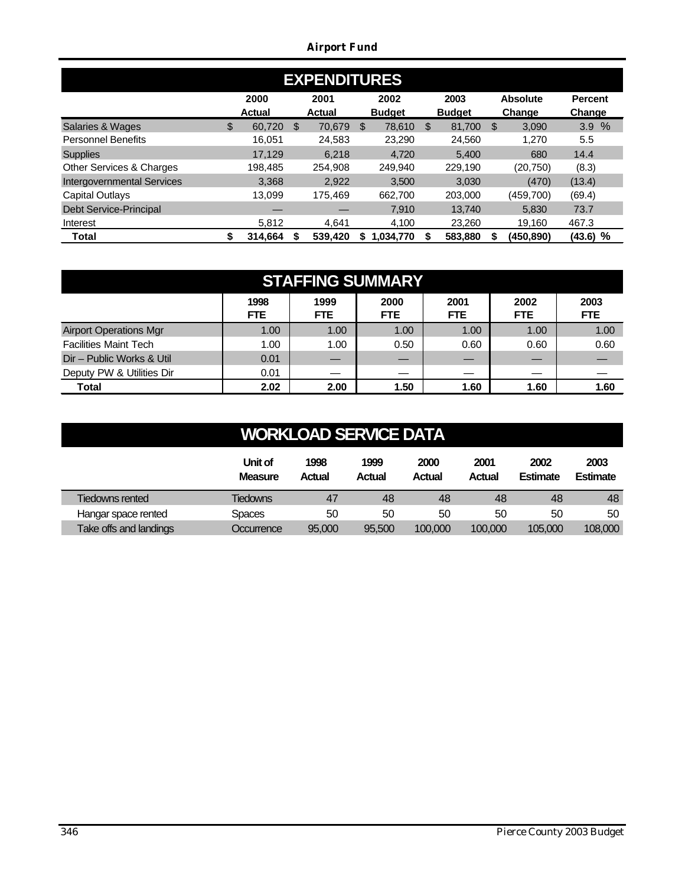*Airport Fund*

| <b>EXPENDITURES</b>               |    |                       |     |                       |    |                       |    |                       |    |                           |                          |  |
|-----------------------------------|----|-----------------------|-----|-----------------------|----|-----------------------|----|-----------------------|----|---------------------------|--------------------------|--|
|                                   |    | 2000<br><b>Actual</b> |     | 2001<br><b>Actual</b> |    | 2002<br><b>Budget</b> |    | 2003<br><b>Budget</b> |    | <b>Absolute</b><br>Change | <b>Percent</b><br>Change |  |
| Salaries & Wages                  | \$ | 60.720                | \$. | 70.679                | \$ | 78.610                | -S | 81.700                | \$ | 3,090                     | 3.9%                     |  |
| <b>Personnel Benefits</b>         |    | 16.051                |     | 24,583                |    | 23.290                |    | 24.560                |    | 1.270                     | 5.5                      |  |
| <b>Supplies</b>                   |    | 17.129                |     | 6.218                 |    | 4,720                 |    | 5.400                 |    | 680                       | 14.4                     |  |
| Other Services & Charges          |    | 198.485               |     | 254.908               |    | 249.940               |    | 229.190               |    | (20, 750)                 | (8.3)                    |  |
| <b>Intergovernmental Services</b> |    | 3,368                 |     | 2.922                 |    | 3.500                 |    | 3.030                 |    | (470)                     | (13.4)                   |  |
| <b>Capital Outlays</b>            |    | 13.099                |     | 175.469               |    | 662,700               |    | 203,000               |    | (459,700)                 | (69.4)                   |  |
| Debt Service-Principal            |    | _                     |     |                       |    | 7.910                 |    | 13.740                |    | 5.830                     | 73.7                     |  |
| Interest                          |    | 5,812                 |     | 4.641                 |    | 4.100                 |    | 23.260                |    | 19.160                    | 467.3                    |  |
| Total                             | \$ | 314.664               |     | 539.420               | S  | 1.034.770             |    | 583,880               |    | (450.890)                 | $(43.6)$ %               |  |

| <b>STAFFING SUMMARY</b>       |                    |                    |                    |                    |                    |                    |  |  |  |  |  |
|-------------------------------|--------------------|--------------------|--------------------|--------------------|--------------------|--------------------|--|--|--|--|--|
|                               | 1998<br><b>FTE</b> | 1999<br><b>FTE</b> | 2000<br><b>FTE</b> | 2001<br><b>FTE</b> | 2002<br><b>FTE</b> | 2003<br><b>FTE</b> |  |  |  |  |  |
| <b>Airport Operations Mgr</b> | 1.00               | 1.00               | 1.00               | 1.00               | 1.00               | 1.00               |  |  |  |  |  |
| <b>Facilities Maint Tech</b>  | 1.00               | 1.00               | 0.50               | 0.60               | 0.60               | 0.60               |  |  |  |  |  |
| Dir - Public Works & Util     | 0.01               |                    |                    |                    |                    |                    |  |  |  |  |  |
| Deputy PW & Utilities Dir     | 0.01               |                    |                    |                    |                    |                    |  |  |  |  |  |
| <b>Total</b>                  | 2.02               | 2.00               | 1.50               | 1.60               | 1.60               | 1.60               |  |  |  |  |  |

# **WORKLOAD SERVICE DATA**

|                        | Unit of<br><b>Measure</b> | 1998<br>Actual | 1999<br><b>Actual</b> | 2000<br><b>Actual</b> | 2001<br>Actual | 2002<br><b>Estimate</b> | 2003<br><b>Estimate</b> |
|------------------------|---------------------------|----------------|-----------------------|-----------------------|----------------|-------------------------|-------------------------|
| Tiedowns rented        | Tiedowns                  | 47             | 48                    | 48                    | 48             | 48                      | 48                      |
| Hangar space rented    | Spaces                    | 50             | 50                    | 50                    | 50             | 50                      | 50                      |
| Take offs and landings | Occurrence                | 95,000         | 95.500                | 100,000               | 100,000        | 105.000                 | 108,000                 |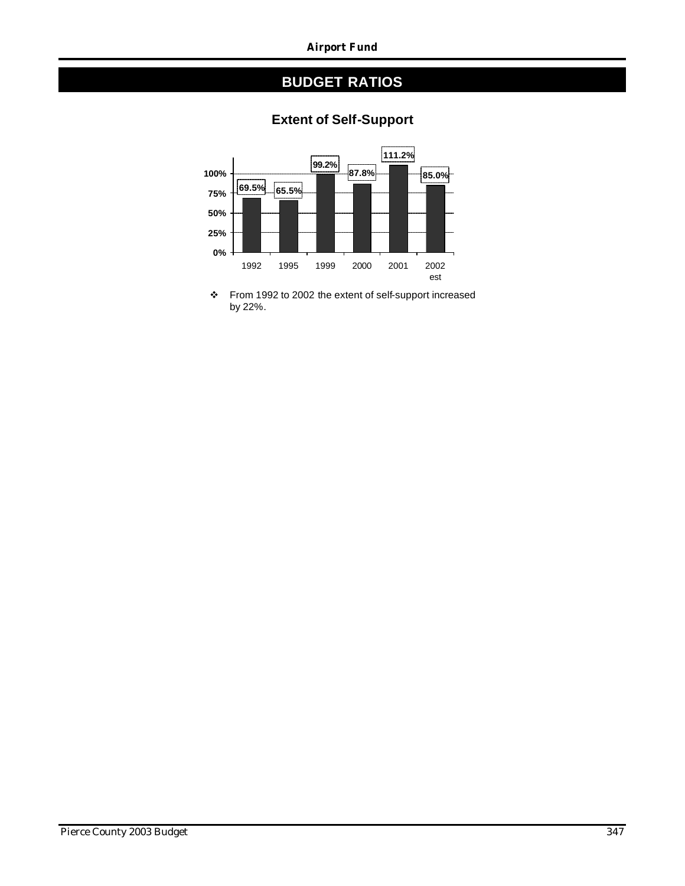#### *Airport Fund*

## **BUDGET RATIOS**



## **Extent of Self-Support**

\* From 1992 to 2002 the extent of self-support increased by 22%.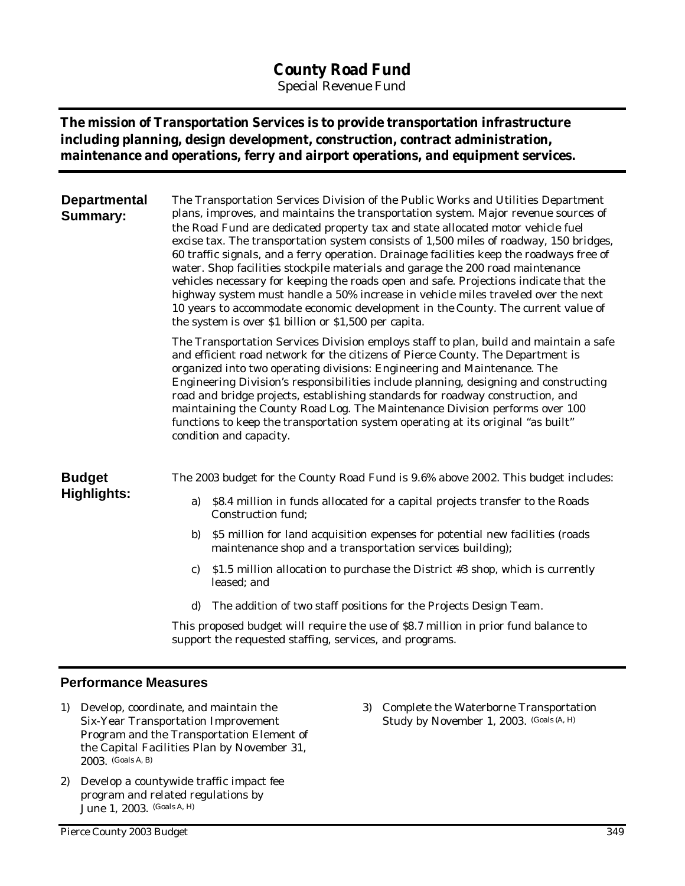## **County Road Fund**

*Special Revenue Fund*

## **The mission of Transportation Services is to provide transportation infrastructure including planning, design development, construction, contract administration, maintenance and operations, ferry and airport operations, and equipment services.**

| <b>Departmental</b><br><b>Summary:</b> | The Transportation Services Division of the Public Works and Utilities Department<br>plans, improves, and maintains the transportation system. Major revenue sources of<br>the Road Fund are dedicated property tax and state allocated motor vehicle fuel<br>excise tax. The transportation system consists of 1,500 miles of roadway, 150 bridges,<br>60 traffic signals, and a ferry operation. Drainage facilities keep the roadways free of<br>water. Shop facilities stockpile materials and garage the 200 road maintenance<br>vehicles necessary for keeping the roads open and safe. Projections indicate that the<br>highway system must handle a 50% increase in vehicle miles traveled over the next<br>10 years to accommodate economic development in the County. The current value of<br>the system is over \$1 billion or \$1,500 per capita. |  |  |  |  |  |  |  |  |
|----------------------------------------|---------------------------------------------------------------------------------------------------------------------------------------------------------------------------------------------------------------------------------------------------------------------------------------------------------------------------------------------------------------------------------------------------------------------------------------------------------------------------------------------------------------------------------------------------------------------------------------------------------------------------------------------------------------------------------------------------------------------------------------------------------------------------------------------------------------------------------------------------------------|--|--|--|--|--|--|--|--|
|                                        | The Transportation Services Division employs staff to plan, build and maintain a safe<br>and efficient road network for the citizens of Pierce County. The Department is<br>organized into two operating divisions: Engineering and Maintenance. The<br>Engineering Division's responsibilities include planning, designing and constructing<br>road and bridge projects, establishing standards for roadway construction, and<br>maintaining the County Road Log. The Maintenance Division performs over 100<br>functions to keep the transportation system operating at its original "as built"<br>condition and capacity.                                                                                                                                                                                                                                  |  |  |  |  |  |  |  |  |
| <b>Budget</b>                          | The 2003 budget for the County Road Fund is 9.6% above 2002. This budget includes:                                                                                                                                                                                                                                                                                                                                                                                                                                                                                                                                                                                                                                                                                                                                                                            |  |  |  |  |  |  |  |  |
| Highlights:                            | \$8.4 million in funds allocated for a capital projects transfer to the Roads<br>a)<br>Construction fund;                                                                                                                                                                                                                                                                                                                                                                                                                                                                                                                                                                                                                                                                                                                                                     |  |  |  |  |  |  |  |  |
|                                        | \$5 million for land acquisition expenses for potential new facilities (roads<br>b)<br>maintenance shop and a transportation services building);                                                                                                                                                                                                                                                                                                                                                                                                                                                                                                                                                                                                                                                                                                              |  |  |  |  |  |  |  |  |
|                                        | \$1.5 million allocation to purchase the District #3 shop, which is currently<br>C)<br>leased; and                                                                                                                                                                                                                                                                                                                                                                                                                                                                                                                                                                                                                                                                                                                                                            |  |  |  |  |  |  |  |  |
|                                        | The addition of two staff positions for the Projects Design Team.<br>d)                                                                                                                                                                                                                                                                                                                                                                                                                                                                                                                                                                                                                                                                                                                                                                                       |  |  |  |  |  |  |  |  |
|                                        | This proposed budget will require the use of \$8.7 million in prior fund balance to<br>support the requested staffing, services, and programs.                                                                                                                                                                                                                                                                                                                                                                                                                                                                                                                                                                                                                                                                                                                |  |  |  |  |  |  |  |  |
|                                        |                                                                                                                                                                                                                                                                                                                                                                                                                                                                                                                                                                                                                                                                                                                                                                                                                                                               |  |  |  |  |  |  |  |  |

#### **Performance Measures**

- 1) Develop, coordinate, and maintain the Six-Year Transportation Improvement Program and the Transportation Element of the Capital Facilities Plan by November 31, 2003. (Goals A, B)
- 2) Develop a countywide traffic impact fee program and related regulations by June 1, 2003. (Goals A, H)

3) Complete the Waterborne Transportation Study by November 1, 2003. (Goals (A, H)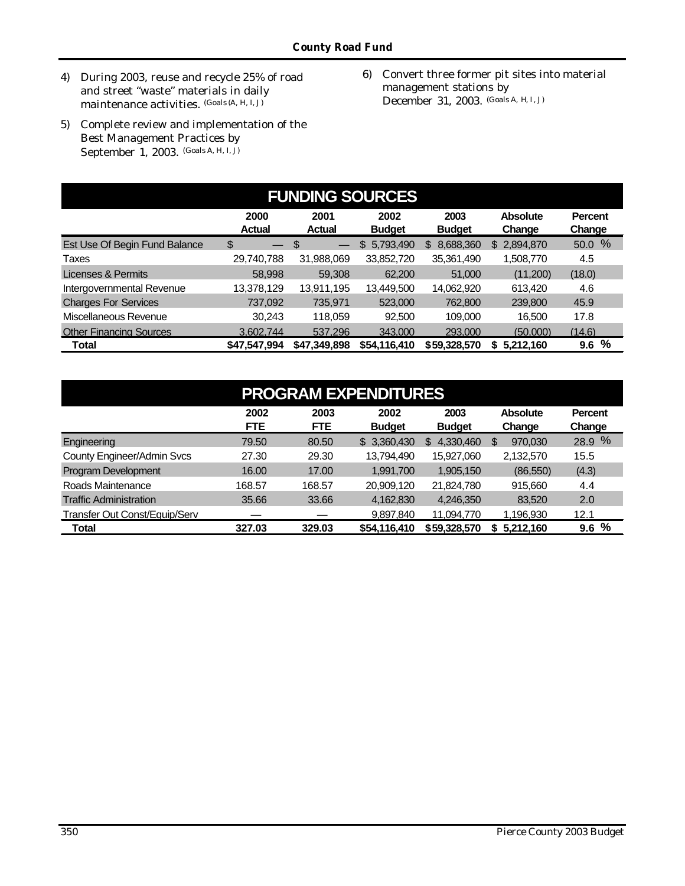- 4) During 2003, reuse and recycle 25% of road and street "waste" materials in daily maintenance activities. (Goals (A, H, I, J)
- 5) Complete review and implementation of the Best Management Practices by September 1, 2003. (Goals A, H, I, J)
- 6) Convert three former pit sites into material management stations by December 31, 2003. (Goals A, H, I, J)

| <b>FUNDING SOURCES</b>         |                         |                        |                       |                       |                           |                          |  |  |  |  |  |
|--------------------------------|-------------------------|------------------------|-----------------------|-----------------------|---------------------------|--------------------------|--|--|--|--|--|
|                                | 2000<br>Actual          | 2001<br><b>Actual</b>  | 2002<br><b>Budget</b> | 2003<br><b>Budget</b> | <b>Absolute</b><br>Change | <b>Percent</b><br>Change |  |  |  |  |  |
| Est Use Of Begin Fund Balance  | \$<br>$\hspace{0.05cm}$ | S<br>$\hspace{0.05cm}$ | 5,793,490<br>\$       | 8,688,360<br>\$       | 2,894,870<br>\$.          | 50.0 %                   |  |  |  |  |  |
| Taxes                          | 29,740,788              | 31,988,069             | 33,852,720            | 35,361,490            | 1,508,770                 | 4.5                      |  |  |  |  |  |
| Licenses & Permits             | 58,998                  | 59,308                 | 62,200                | 51,000                | (11,200)                  | (18.0)                   |  |  |  |  |  |
| Intergovernmental Revenue      | 13,378,129              | 13,911,195             | 13,449,500            | 14,062,920            | 613,420                   | 4.6                      |  |  |  |  |  |
| <b>Charges For Services</b>    | 737,092                 | 735,971                | 523,000               | 762,800               | 239,800                   | 45.9                     |  |  |  |  |  |
| Miscellaneous Revenue          | 30,243                  | 118.059                | 92,500                | 109,000               | 16.500                    | 17.8                     |  |  |  |  |  |
| <b>Other Financing Sources</b> | 3.602.744               | 537.296                | 343,000               | 293,000               | (50,000)                  | (14.6)                   |  |  |  |  |  |
| <b>Total</b>                   | \$47,547,994            | \$47,349,898           | \$54,116,410          | \$59,328,570          | 5,212,160<br>S            | %<br>9.6                 |  |  |  |  |  |

| <b>PROGRAM EXPENDITURES</b>          |                    |                    |                       |                       |                           |                          |  |  |  |  |  |
|--------------------------------------|--------------------|--------------------|-----------------------|-----------------------|---------------------------|--------------------------|--|--|--|--|--|
|                                      | 2002<br><b>FTE</b> | 2003<br><b>FTE</b> | 2002<br><b>Budget</b> | 2003<br><b>Budget</b> | <b>Absolute</b><br>Change | <b>Percent</b><br>Change |  |  |  |  |  |
| Engineering                          | 79.50              | 80.50              | \$3,360,430           | 4,330,460<br>S        | 970.030<br>S              | 28.9 %                   |  |  |  |  |  |
| County Engineer/Admin Svcs           | 27.30              | 29.30              | 13,794,490            | 15,927,060            | 2,132,570                 | 15.5                     |  |  |  |  |  |
| Program Development                  | 16.00              | 17.00              | 1,991,700             | 1,905,150             | (86, 550)                 | (4.3)                    |  |  |  |  |  |
| Roads Maintenance                    | 168.57             | 168.57             | 20,909,120            | 21,824,780            | 915,660                   | 4.4                      |  |  |  |  |  |
| <b>Traffic Administration</b>        | 35.66              | 33.66              | 4,162,830             | 4,246,350             | 83,520                    | 2.0                      |  |  |  |  |  |
| <b>Transfer Out Const/Equip/Serv</b> |                    |                    | 9.897.840             | 11.094.770            | 1.196.930                 | 12.1                     |  |  |  |  |  |
| <b>Total</b>                         | 327.03             | 329.03             | \$54,116,410          | \$59,328,570          | \$5,212,160               | %<br>9.6                 |  |  |  |  |  |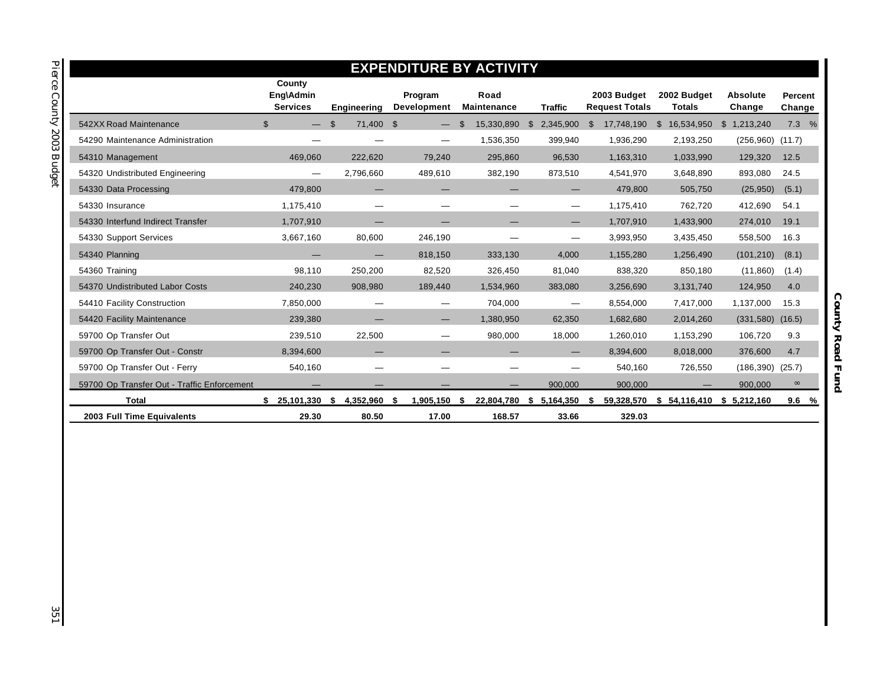|                                             |                                        |                                 |                               | <b>EXPENDITURE BY ACTIVITY</b> |                           |                                      |                              |                           |                   |
|---------------------------------------------|----------------------------------------|---------------------------------|-------------------------------|--------------------------------|---------------------------|--------------------------------------|------------------------------|---------------------------|-------------------|
|                                             | County<br>Eng\Admin<br><b>Services</b> | Engineering                     | Program<br><b>Development</b> | Road<br>Maintenance            | <b>Traffic</b>            | 2003 Budget<br><b>Request Totals</b> | 2002 Budget<br><b>Totals</b> | <b>Absolute</b><br>Change | Percent<br>Change |
| 542XX Road Maintenance                      | $\mathfrak{L}$                         | 71,400 \$<br>$\mathbf{\hat{f}}$ |                               | 15,330,890<br>£.               | $\mathbb{S}$<br>2,345,900 | $\mathbb{S}$<br>17,748,190           | \$<br>16,534,950             | \$<br>1,213,240           | 7.3%              |
| 54290 Maintenance Administration            |                                        |                                 | —                             | 1,536,350                      | 399,940                   | 1,936,290                            | 2,193,250                    | $(256,960)$ $(11.7)$      |                   |
| 54310 Management                            | 469.060                                | 222.620                         | 79.240                        | 295,860                        | 96,530                    | 1,163,310                            | 1.033.990                    | 129,320                   | 12.5              |
| 54320 Undistributed Engineering             | $\hspace{0.05cm}$                      | 2,796,660                       | 489,610                       | 382,190                        | 873,510                   | 4,541,970                            | 3,648,890                    | 893,080                   | 24.5              |
| 54330 Data Processing                       | 479,800                                |                                 | —                             |                                | —                         | 479,800                              | 505,750                      | (25,950)                  | (5.1)             |
| 54330 Insurance                             | 1,175,410                              |                                 | $\overline{\phantom{0}}$      |                                |                           | 1,175,410                            | 762,720                      | 412,690                   | 54.1              |
| 54330 Interfund Indirect Transfer           | 1,707,910                              |                                 |                               |                                |                           | 1,707,910                            | 1,433,900                    | 274,010                   | 19.1              |
| 54330 Support Services                      | 3,667,160                              | 80,600                          | 246,190                       |                                |                           | 3,993,950                            | 3,435,450                    | 558,500                   | 16.3              |
| 54340 Planning                              |                                        |                                 | 818.150                       | 333.130                        | 4.000                     | 1,155,280                            | 1.256.490                    | (101, 210)                | (8.1)             |
| 54360 Training                              | 98.110                                 | 250,200                         | 82,520                        | 326,450                        | 81,040                    | 838,320                              | 850,180                      | (11, 860)                 | (1.4)             |
| 54370 Undistributed Labor Costs             | 240.230                                | 908.980                         | 189,440                       | 1.534.960                      | 383,080                   | 3,256,690                            | 3,131,740                    | 124,950                   | 4.0               |
| 54410 Facility Construction                 | 7,850,000                              |                                 |                               | 704,000                        | $\overline{\phantom{0}}$  | 8,554,000                            | 7,417,000                    | 1,137,000                 | 15.3              |
| 54420 Facility Maintenance                  | 239,380                                |                                 |                               | 1,380,950                      | 62,350                    | 1,682,680                            | 2,014,260                    | (331,580)                 | (16.5)            |
| 59700 Op Transfer Out                       | 239,510                                | 22,500                          | —                             | 980,000                        | 18,000                    | 1,260,010                            | 1,153,290                    | 106,720                   | 9.3               |
| 59700 Op Transfer Out - Constr              | 8,394,600                              |                                 | —                             |                                |                           | 8,394,600                            | 8,018,000                    | 376,600                   | 4.7               |
| 59700 Op Transfer Out - Ferry               | 540,160                                |                                 | $\overline{\phantom{0}}$      |                                |                           | 540,160                              | 726,550                      | (186, 390)                | (25.7)            |
| 59700 Op Transfer Out - Traffic Enforcement |                                        |                                 |                               |                                | 900,000                   | 900,000                              |                              | 900,000                   | $\infty$          |
| <b>Total</b>                                | \$25,101,330                           | 4,352,960 \$<br>-\$             | 1,905,150                     | \$<br>22,804,780               | 5,164,350<br>- \$         | 59,328,570<br>- 55                   | \$                           | 54,116,410 \$ 5,212,160   | 9.6%              |
| 2003 Full Time Equivalents                  | 29.30                                  | 80.50                           | 17.00                         | 168.57                         | 33.66                     | 329.03                               |                              |                           |                   |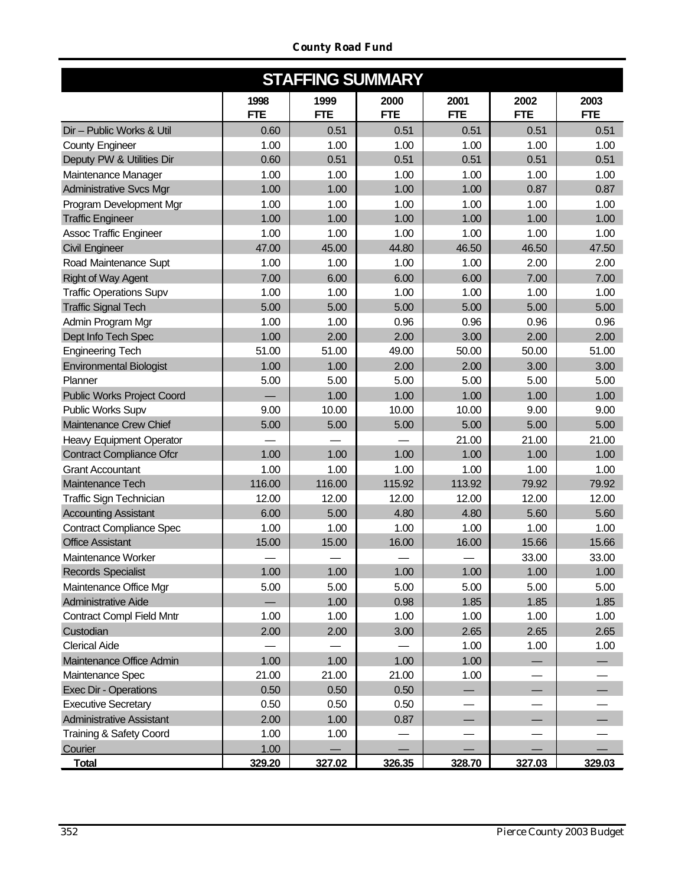| <b>STAFFING SUMMARY</b>                                 |                    |                    |                    |                    |                    |                    |  |  |  |  |  |  |
|---------------------------------------------------------|--------------------|--------------------|--------------------|--------------------|--------------------|--------------------|--|--|--|--|--|--|
|                                                         | 1998<br><b>FTE</b> | 1999<br><b>FTE</b> | 2000<br><b>FTE</b> | 2001<br><b>FTE</b> | 2002<br><b>FTE</b> | 2003<br><b>FTE</b> |  |  |  |  |  |  |
| Dir - Public Works & Util                               | 0.60               | 0.51               | 0.51               | 0.51               | 0.51               | 0.51               |  |  |  |  |  |  |
| <b>County Engineer</b>                                  | 1.00               | 1.00               | 1.00               | 1.00               | 1.00               | 1.00               |  |  |  |  |  |  |
| Deputy PW & Utilities Dir                               | 0.60               | 0.51               | 0.51               | 0.51               | 0.51               | 0.51               |  |  |  |  |  |  |
| Maintenance Manager                                     | 1.00               | 1.00               | 1.00               | 1.00               | 1.00               | 1.00               |  |  |  |  |  |  |
| <b>Administrative Svcs Mgr</b>                          | 1.00               | 1.00               | 1.00               | 1.00               | 0.87               | 0.87               |  |  |  |  |  |  |
| Program Development Mgr                                 | 1.00               | 1.00               | 1.00               | 1.00               | 1.00               | 1.00               |  |  |  |  |  |  |
| <b>Traffic Engineer</b>                                 | 1.00               | 1.00               | 1.00               | 1.00               | 1.00               | 1.00               |  |  |  |  |  |  |
| <b>Assoc Traffic Engineer</b>                           | 1.00               | 1.00               | 1.00               | 1.00               | 1.00               | 1.00               |  |  |  |  |  |  |
| <b>Civil Engineer</b>                                   | 47.00              | 45.00              | 44.80              | 46.50              | 46.50              | 47.50              |  |  |  |  |  |  |
| Road Maintenance Supt                                   | 1.00               | 1.00               | 1.00               | 1.00               | 2.00               | 2.00               |  |  |  |  |  |  |
| <b>Right of Way Agent</b>                               | 7.00               | 6.00               | 6.00               | 6.00               | 7.00               | 7.00               |  |  |  |  |  |  |
| <b>Traffic Operations Supv</b>                          | 1.00               | 1.00               | 1.00               | 1.00               | 1.00               | 1.00               |  |  |  |  |  |  |
| <b>Traffic Signal Tech</b>                              | 5.00               | 5.00               | 5.00               | 5.00               | 5.00               | 5.00               |  |  |  |  |  |  |
| Admin Program Mgr                                       | 1.00               | 1.00               | 0.96               | 0.96               | 0.96               | 0.96               |  |  |  |  |  |  |
| Dept Info Tech Spec                                     | 1.00               | 2.00               | 2.00               | 3.00               | 2.00               | 2.00               |  |  |  |  |  |  |
| <b>Engineering Tech</b>                                 | 51.00              | 51.00              | 49.00              | 50.00              | 50.00              | 51.00              |  |  |  |  |  |  |
| <b>Environmental Biologist</b>                          | 1.00               | 1.00               | 2.00               | 2.00               | 3.00               | 3.00               |  |  |  |  |  |  |
| Planner                                                 | 5.00               | 5.00               | 5.00               | 5.00               | 5.00               | 5.00               |  |  |  |  |  |  |
| <b>Public Works Project Coord</b>                       |                    | 1.00               | 1.00               | 1.00               | 1.00               | 1.00               |  |  |  |  |  |  |
| Public Works Supv                                       | 9.00               | 10.00              | 10.00              | 10.00              | 9.00               | 9.00               |  |  |  |  |  |  |
| Maintenance Crew Chief                                  | 5.00               | 5.00               | 5.00               | 5.00               | 5.00               | 5.00               |  |  |  |  |  |  |
| Heavy Equipment Operator                                |                    |                    |                    | 21.00              | 21.00              | 21.00              |  |  |  |  |  |  |
| <b>Contract Compliance Ofcr</b>                         | 1.00               | 1.00               | 1.00               | 1.00               | 1.00               | 1.00               |  |  |  |  |  |  |
| <b>Grant Accountant</b>                                 | 1.00               | 1.00               | 1.00               | 1.00               | 1.00               | 1.00               |  |  |  |  |  |  |
| Maintenance Tech                                        | 116.00             | 116.00             | 115.92             | 113.92             | 79.92              | 79.92              |  |  |  |  |  |  |
| Traffic Sign Technician                                 | 12.00              | 12.00              | 12.00              | 12.00              | 12.00              | 12.00              |  |  |  |  |  |  |
| <b>Accounting Assistant</b>                             | 6.00               | 5.00               | 4.80               | 4.80               | 5.60               | 5.60               |  |  |  |  |  |  |
| <b>Contract Compliance Spec</b>                         | 1.00               | 1.00               | 1.00               | 1.00               | 1.00               | 1.00               |  |  |  |  |  |  |
| <b>Office Assistant</b>                                 | 15.00              | 15.00              | 16.00              | 16.00              | 15.66              | 15.66              |  |  |  |  |  |  |
| Maintenance Worker                                      |                    |                    |                    |                    | 33.00              | 33.00              |  |  |  |  |  |  |
| <b>Records Specialist</b>                               | 1.00               | 1.00               | 1.00               | 1.00               | 1.00               | 1.00               |  |  |  |  |  |  |
|                                                         | 5.00               | 5.00               | 5.00               | 5.00               | 5.00               | 5.00               |  |  |  |  |  |  |
| Maintenance Office Mgr                                  |                    |                    |                    |                    |                    |                    |  |  |  |  |  |  |
| Administrative Aide<br><b>Contract Compl Field Mntr</b> |                    | 1.00               | 0.98               | 1.85               | 1.85               | 1.85               |  |  |  |  |  |  |
|                                                         | 1.00               | 1.00               | 1.00               | 1.00               | 1.00               | 1.00               |  |  |  |  |  |  |
| Custodian                                               | 2.00               | 2.00               | 3.00               | 2.65               | 2.65               | 2.65               |  |  |  |  |  |  |
| <b>Clerical Aide</b>                                    |                    |                    |                    | 1.00               | 1.00               | 1.00               |  |  |  |  |  |  |
| Maintenance Office Admin                                | 1.00               | 1.00               | 1.00               | 1.00               |                    |                    |  |  |  |  |  |  |
| Maintenance Spec                                        | 21.00              | 21.00              | 21.00              | 1.00               |                    |                    |  |  |  |  |  |  |
| Exec Dir - Operations                                   | 0.50               | 0.50               | 0.50               |                    |                    |                    |  |  |  |  |  |  |
| <b>Executive Secretary</b>                              | 0.50               | 0.50               | 0.50               |                    |                    |                    |  |  |  |  |  |  |
| <b>Administrative Assistant</b>                         | 2.00               | 1.00               | 0.87               |                    |                    |                    |  |  |  |  |  |  |
| Training & Safety Coord                                 | 1.00               | 1.00               |                    |                    |                    |                    |  |  |  |  |  |  |
| Courier                                                 | 1.00               |                    |                    |                    |                    |                    |  |  |  |  |  |  |
| <b>Total</b>                                            | 329.20             | 327.02             | 326.35             | 328.70             | 327.03             | 329.03             |  |  |  |  |  |  |

*County Road Fund*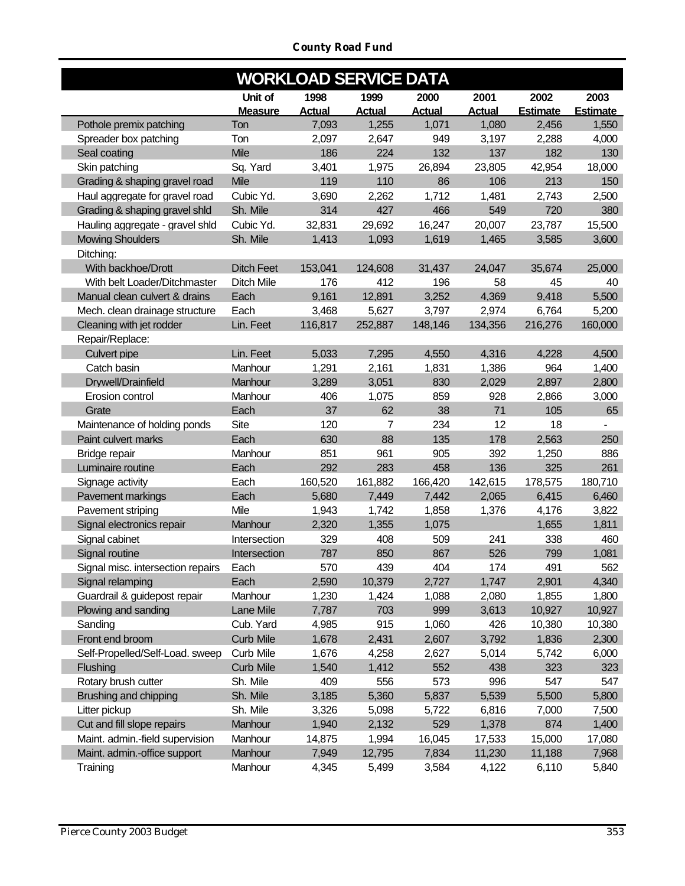*County Road Fund*

|                                   | <b>WORKLOAD SERVICE DATA</b> |               |                |               |               |                 |                 |  |  |  |  |
|-----------------------------------|------------------------------|---------------|----------------|---------------|---------------|-----------------|-----------------|--|--|--|--|
|                                   | Unit of                      | 1998          | 1999           | 2000          | 2001          | 2002            | 2003            |  |  |  |  |
|                                   | <b>Measure</b>               | <b>Actual</b> | <b>Actual</b>  | <b>Actual</b> | <b>Actual</b> | <b>Estimate</b> | <b>Estimate</b> |  |  |  |  |
| Pothole premix patching           | Ton                          | 7,093         | 1,255          | 1,071         | 1,080         | 2,456           | 1,550           |  |  |  |  |
| Spreader box patching             | Ton                          | 2,097         | 2,647          | 949           | 3,197         | 2,288           | 4,000           |  |  |  |  |
| Seal coating                      | <b>Mile</b>                  | 186           | 224            | 132           | 137           | 182             | 130             |  |  |  |  |
| Skin patching                     | Sq. Yard                     | 3,401         | 1,975          | 26,894        | 23,805        | 42,954          | 18,000          |  |  |  |  |
| Grading & shaping gravel road     | Mile                         | 119           | 110            | 86            | 106           | 213             | 150             |  |  |  |  |
| Haul aggregate for gravel road    | Cubic Yd.                    | 3,690         | 2,262          | 1,712         | 1,481         | 2,743           | 2,500           |  |  |  |  |
| Grading & shaping gravel shld     | Sh. Mile                     | 314           | 427            | 466           | 549           | 720             | 380             |  |  |  |  |
| Hauling aggregate - gravel shld   | Cubic Yd.                    | 32,831        | 29,692         | 16,247        | 20,007        | 23,787          | 15,500          |  |  |  |  |
| <b>Mowing Shoulders</b>           | Sh. Mile                     | 1,413         | 1,093          | 1,619         | 1,465         | 3,585           | 3,600           |  |  |  |  |
| Ditching:                         |                              |               |                |               |               |                 |                 |  |  |  |  |
| With backhoe/Drott                | <b>Ditch Feet</b>            | 153,041       | 124,608        | 31,437        | 24.047        | 35,674          | 25,000          |  |  |  |  |
| With belt Loader/Ditchmaster      | <b>Ditch Mile</b>            | 176           | 412            | 196           | 58            | 45              | 40              |  |  |  |  |
| Manual clean culvert & drains     | Each                         | 9,161         | 12,891         | 3,252         | 4,369         | 9,418           | 5,500           |  |  |  |  |
| Mech. clean drainage structure    | Each                         | 3,468         | 5,627          | 3,797         | 2,974         | 6,764           | 5,200           |  |  |  |  |
| Cleaning with jet rodder          | Lin. Feet                    | 116,817       | 252,887        | 148,146       | 134,356       | 216,276         | 160,000         |  |  |  |  |
| Repair/Replace:                   |                              |               |                |               |               |                 |                 |  |  |  |  |
| Culvert pipe                      | Lin. Feet                    | 5,033         | 7,295          | 4,550         | 4,316         | 4,228           | 4,500           |  |  |  |  |
| Catch basin                       | Manhour                      | 1,291         | 2,161          | 1,831         | 1,386         | 964             | 1,400           |  |  |  |  |
| Drywell/Drainfield                | Manhour                      | 3,289         | 3,051          | 830           | 2,029         | 2,897           | 2,800           |  |  |  |  |
| Erosion control                   | Manhour                      | 406           | 1,075          | 859           | 928           | 2,866           | 3,000           |  |  |  |  |
| Grate                             | Each                         | 37            | 62             | 38            | 71            | 105             | 65              |  |  |  |  |
| Maintenance of holding ponds      | <b>Site</b>                  | 120           | $\overline{7}$ | 234           | 12            | 18              |                 |  |  |  |  |
| Paint culvert marks               | Each                         | 630           | 88             | 135           | 178           | 2,563           | 250             |  |  |  |  |
| Bridge repair                     | Manhour                      | 851           | 961            | 905           | 392           | 1,250           | 886             |  |  |  |  |
| Luminaire routine                 | Each                         | 292           | 283            | 458           | 136           | 325             | 261             |  |  |  |  |
| Signage activity                  | Each                         | 160,520       | 161,882        | 166,420       | 142,615       | 178,575         | 180,710         |  |  |  |  |
| Pavement markings                 | Each                         | 5,680         | 7,449          | 7,442         | 2,065         | 6,415           | 6,460           |  |  |  |  |
| Pavement striping                 | Mile                         | 1,943         | 1,742          | 1,858         | 1,376         | 4,176           | 3,822           |  |  |  |  |
| Signal electronics repair         | Manhour                      | 2,320         | 1,355          | 1,075         |               | 1,655           | 1,811           |  |  |  |  |
| Signal cabinet                    | Intersection                 | 329           | 408            | 509           | 241           | 338             | 460             |  |  |  |  |
| Signal routine                    | Intersection                 | 787           | 850            | 867           | 526           | 799             | 1,081           |  |  |  |  |
| Signal misc. intersection repairs | Each                         | 570           | 439            | 404           | 174           | 491             | 562             |  |  |  |  |
| Signal relamping                  | Each                         | 2,590         | 10,379         | 2,727         | 1,747         | 2,901           | 4,340           |  |  |  |  |
| Guardrail & guidepost repair      | Manhour                      | 1,230         | 1,424          | 1,088         | 2,080         | 1,855           | 1,800           |  |  |  |  |
| Plowing and sanding               | Lane Mile                    | 7,787         | 703            | 999           | 3,613         | 10,927          | 10,927          |  |  |  |  |
| Sanding                           | Cub. Yard                    | 4,985         | 915            | 1,060         | 426           | 10,380          | 10,380          |  |  |  |  |
| Front end broom                   | <b>Curb Mile</b>             | 1,678         | 2,431          | 2,607         | 3,792         | 1,836           | 2,300           |  |  |  |  |
| Self-Propelled/Self-Load. sweep   | <b>Curb Mile</b>             | 1,676         | 4,258          | 2,627         | 5,014         | 5,742           | 6,000           |  |  |  |  |
| Flushing                          | <b>Curb Mile</b>             | 1,540         | 1,412          | 552           | 438           | 323             | 323             |  |  |  |  |
| Rotary brush cutter               | Sh. Mile                     | 409           | 556            | 573           | 996           | 547             | 547             |  |  |  |  |
| Brushing and chipping             | Sh. Mile                     | 3,185         | 5,360          | 5,837         | 5,539         | 5,500           | 5,800           |  |  |  |  |
| Litter pickup                     | Sh. Mile                     | 3,326         | 5,098          | 5,722         | 6,816         | 7,000           | 7,500           |  |  |  |  |
| Cut and fill slope repairs        | Manhour                      | 1,940         | 2,132          | 529           | 1,378         | 874             | 1,400           |  |  |  |  |
| Maint. admin.-field supervision   | Manhour                      | 14,875        | 1,994          | 16,045        | 17,533        | 15,000          | 17,080          |  |  |  |  |
| Maint. admin.-office support      | Manhour                      | 7,949         | 12,795         | 7,834         | 11,230        | 11,188          | 7,968           |  |  |  |  |
| Training                          | Manhour                      | 4,345         | 5,499          | 3,584         | 4,122         | 6,110           | 5,840           |  |  |  |  |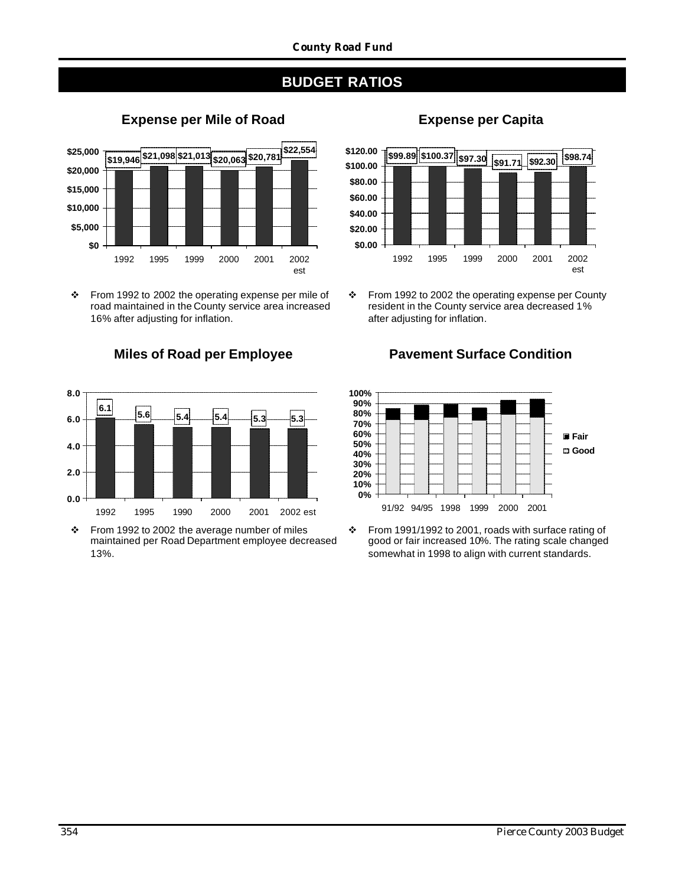## **BUDGET RATIOS**



\* From 1992 to 2002 the operating expense per mile of road maintained in the County service area increased 16% after adjusting for inflation.



\* From 1992 to 2002 the average number of miles maintained per Road Department employee decreased 13%.

# **Expense per Mile of Road Expense per Capita**



\* From 1992 to 2002 the operating expense per County resident in the County service area decreased 1% after adjusting for inflation.





\* From 1991/1992 to 2001, roads with surface rating of good or fair increased 10%. The rating scale changed somewhat in 1998 to align with current standards.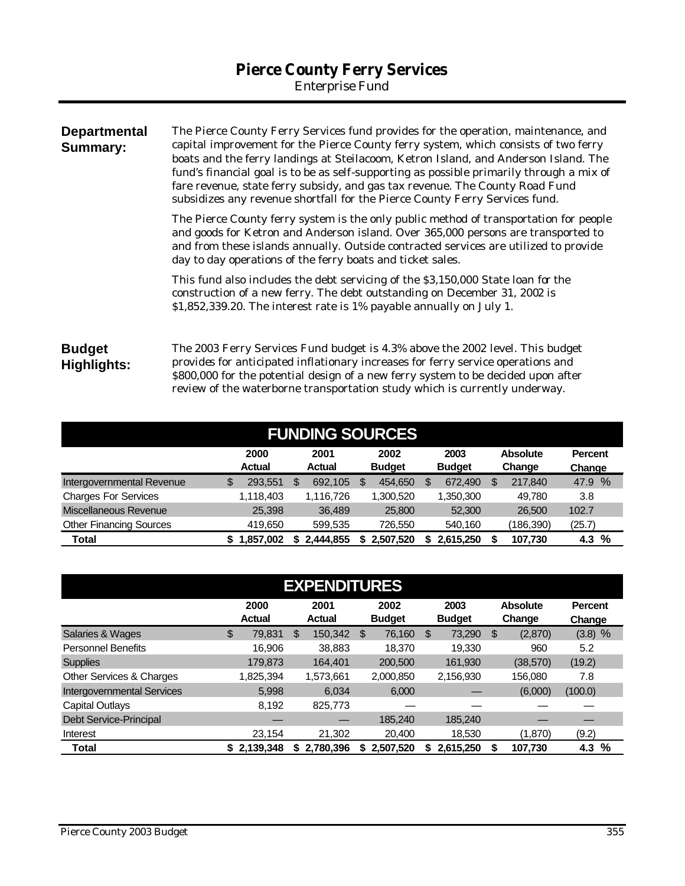*Enterprise Fund*

| <b>Departmental</b><br>Summary: | The Pierce County Ferry Services fund provides for the operation, maintenance, and<br>capital improvement for the Pierce County ferry system, which consists of two ferry<br>boats and the ferry landings at Steilacoom, Ketron Island, and Anderson Island. The<br>fund's financial goal is to be as self-supporting as possible primarily through a mix of<br>fare revenue, state ferry subsidy, and gas tax revenue. The County Road Fund<br>subsidizes any revenue shortfall for the Pierce County Ferry Services fund. |  |  |  |  |  |
|---------------------------------|-----------------------------------------------------------------------------------------------------------------------------------------------------------------------------------------------------------------------------------------------------------------------------------------------------------------------------------------------------------------------------------------------------------------------------------------------------------------------------------------------------------------------------|--|--|--|--|--|
|                                 | The Pierce County ferry system is the only public method of transportation for people<br>and goods for Ketron and Anderson island. Over 365,000 persons are transported to<br>and from these islands annually. Outside contracted services are utilized to provide<br>day to day operations of the ferry boats and ticket sales.                                                                                                                                                                                            |  |  |  |  |  |
|                                 | This fund also includes the debt servicing of the \$3,150,000 State loan for the<br>construction of a new ferry. The debt outstanding on December 31, 2002 is<br>\$1,852,339.20. The interest rate is 1% payable annually on July 1.                                                                                                                                                                                                                                                                                        |  |  |  |  |  |
| <b>Budget</b><br>Highlights:    | The 2003 Ferry Services Fund budget is 4.3% above the 2002 level. This budget<br>provides for anticipated inflationary increases for ferry service operations and<br>\$800,000 for the potential design of a new ferry system to be decided upon after<br>review of the waterborne transportation study which is currently underway.                                                                                                                                                                                        |  |  |  |  |  |

| <b>FUNDING SOURCES</b>         |    |                       |    |                       |    |               |  |               |   |                 |        |                |
|--------------------------------|----|-----------------------|----|-----------------------|----|---------------|--|---------------|---|-----------------|--------|----------------|
|                                |    | 2000<br><b>Actual</b> |    | 2001<br><b>Actual</b> |    | 2002          |  | 2003          |   | <b>Absolute</b> |        | <b>Percent</b> |
|                                |    |                       |    |                       |    | <b>Budget</b> |  | <b>Budget</b> |   | Change          | Change |                |
| Intergovernmental Revenue      | \$ | 293,551               | S  | 692,105               | \$ | 454,650       |  | 672,490       | S | 217.840         |        | 47.9 %         |
| <b>Charges For Services</b>    |    | 1,118,403             |    | 1,116,726             |    | 1,300,520     |  | 1,350,300     |   | 49.780          | 3.8    |                |
| Miscellaneous Revenue          |    | 25,398                |    | 36,489                |    | 25,800        |  | 52,300        |   | 26,500          | 102.7  |                |
| <b>Other Financing Sources</b> |    | 419.650               |    | 599,535               |    | 726,550       |  | 540,160       |   | (186,390)       | (25.7) |                |
| Total                          |    | 1.857.002             | S. | 2.444.855             |    | 2.507.520     |  | 2,615,250     |   | 107,730         |        | $4.3\%$        |

|                                   | <b>EXPENDITURES</b> |                       |    |                       |    |                       |    |                       |    |                           |                          |  |
|-----------------------------------|---------------------|-----------------------|----|-----------------------|----|-----------------------|----|-----------------------|----|---------------------------|--------------------------|--|
|                                   |                     | 2000<br><b>Actual</b> |    | 2001<br><b>Actual</b> |    | 2002<br><b>Budget</b> |    | 2003<br><b>Budget</b> |    | <b>Absolute</b><br>Change | <b>Percent</b><br>Change |  |
| Salaries & Wages                  | \$                  | 79,831                | S  | 150,342               | \$ | 76,160                | \$ | 73,290                | \$ | (2,870)                   | $(3.8)$ %                |  |
| <b>Personnel Benefits</b>         |                     | 16.906                |    | 38,883                |    | 18,370                |    | 19,330                |    | 960                       | 5.2                      |  |
| <b>Supplies</b>                   |                     | 179,873               |    | 164.401               |    | 200,500               |    | 161,930               |    | (38, 570)                 | (19.2)                   |  |
| Other Services & Charges          |                     | 1,825,394             |    | 1.573.661             |    | 2,000,850             |    | 2,156,930             |    | 156.080                   | 7.8                      |  |
| <b>Intergovernmental Services</b> |                     | 5.998                 |    | 6.034                 |    | 6,000                 |    |                       |    | (6,000)                   | (100.0)                  |  |
| <b>Capital Outlays</b>            |                     | 8.192                 |    | 825,773               |    |                       |    |                       |    |                           |                          |  |
| Debt Service-Principal            |                     |                       |    |                       |    | 185.240               |    | 185.240               |    |                           |                          |  |
| Interest                          |                     | 23,154                |    | 21,302                |    | 20,400                |    | 18,530                |    | (1,870)                   | (9.2)                    |  |
| Total                             | \$                  | 2.139.348             | S. | 2.780.396             |    | 2,507,520             | S  | 2,615,250             |    | 107,730                   | %<br>4.3                 |  |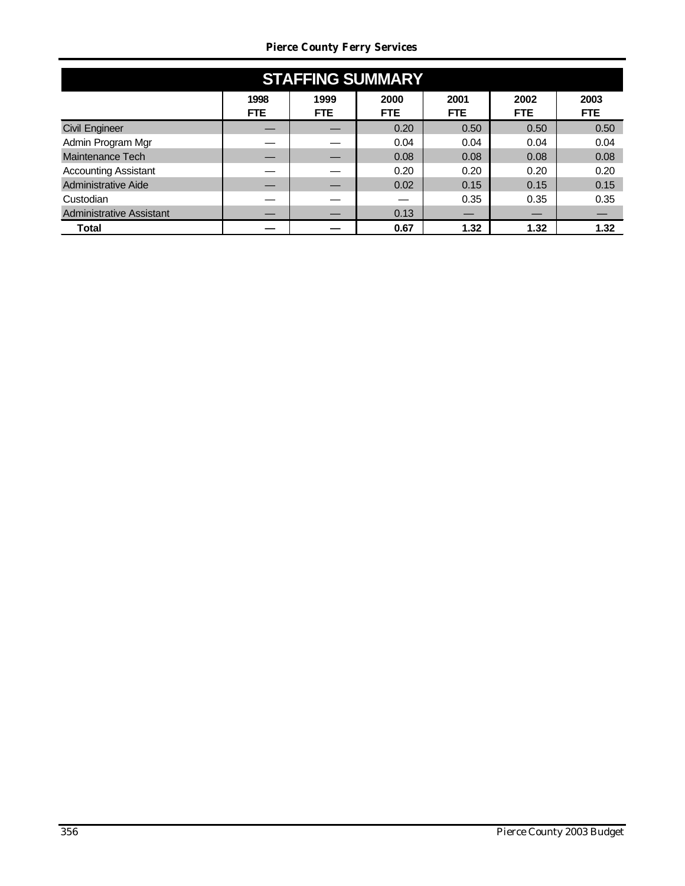#### *Pierce County Ferry Services*

| <b>STAFFING SUMMARY</b>         |                    |             |                    |                    |                    |                    |  |  |  |  |
|---------------------------------|--------------------|-------------|--------------------|--------------------|--------------------|--------------------|--|--|--|--|
|                                 | 1998<br><b>FTE</b> | 1999<br>FTE | 2000<br><b>FTE</b> | 2001<br><b>FTE</b> | 2002<br><b>FTE</b> | 2003<br><b>FTE</b> |  |  |  |  |
| <b>Civil Engineer</b>           |                    |             | 0.20               | 0.50               | 0.50               | 0.50               |  |  |  |  |
| Admin Program Mgr               |                    |             | 0.04               | 0.04               | 0.04               | 0.04               |  |  |  |  |
| Maintenance Tech                |                    |             | 0.08               | 0.08               | 0.08               | 0.08               |  |  |  |  |
| <b>Accounting Assistant</b>     |                    |             | 0.20               | 0.20               | 0.20               | 0.20               |  |  |  |  |
| <b>Administrative Aide</b>      |                    |             | 0.02               | 0.15               | 0.15               | 0.15               |  |  |  |  |
| Custodian                       |                    |             |                    | 0.35               | 0.35               | 0.35               |  |  |  |  |
| <b>Administrative Assistant</b> |                    |             | 0.13               |                    |                    |                    |  |  |  |  |
| Total                           |                    |             | 0.67               | 1.32               | 1.32               | 1.32               |  |  |  |  |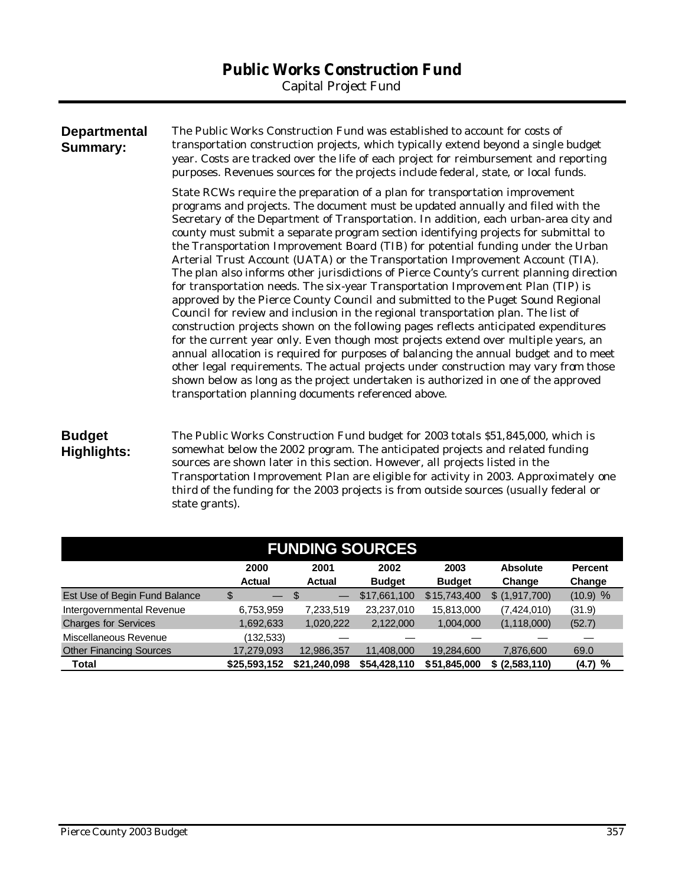| <b>Departmental</b><br><b>Summary:</b> | The Public Works Construction Fund was established to account for costs of<br>transportation construction projects, which typically extend beyond a single budget<br>year. Costs are tracked over the life of each project for reimbursement and reporting<br>purposes. Revenues sources for the projects include federal, state, or local funds.                                                                                                                                                                                                                                                                                                                                                                                                                                                                                                                                                                                                                                                                                                                                                                                                                                                                                                                                                                                                                                      |
|----------------------------------------|----------------------------------------------------------------------------------------------------------------------------------------------------------------------------------------------------------------------------------------------------------------------------------------------------------------------------------------------------------------------------------------------------------------------------------------------------------------------------------------------------------------------------------------------------------------------------------------------------------------------------------------------------------------------------------------------------------------------------------------------------------------------------------------------------------------------------------------------------------------------------------------------------------------------------------------------------------------------------------------------------------------------------------------------------------------------------------------------------------------------------------------------------------------------------------------------------------------------------------------------------------------------------------------------------------------------------------------------------------------------------------------|
|                                        | State RCWs require the preparation of a plan for transportation improvement<br>programs and projects. The document must be updated annually and filed with the<br>Secretary of the Department of Transportation. In addition, each urban-area city and<br>county must submit a separate program section identifying projects for submittal to<br>the Transportation Improvement Board (TIB) for potential funding under the Urban<br>Arterial Trust Account (UATA) or the Transportation Improvement Account (TIA).<br>The plan also informs other jurisdictions of Pierce County's current planning direction<br>for transportation needs. The six-year Transportation Improvement Plan (TIP) is<br>approved by the Pierce County Council and submitted to the Puget Sound Regional<br>Council for review and inclusion in the regional transportation plan. The list of<br>construction projects shown on the following pages reflects anticipated expenditures<br>for the current year only. Even though most projects extend over multiple years, an<br>annual allocation is required for purposes of balancing the annual budget and to meet<br>other legal requirements. The actual projects under construction may vary from those<br>shown below as long as the project undertaken is authorized in one of the approved<br>transportation planning documents referenced above. |
| <b>Budget</b>                          | The Public Works Construction Fund budget for 2003 totals \$51,845,000, which is                                                                                                                                                                                                                                                                                                                                                                                                                                                                                                                                                                                                                                                                                                                                                                                                                                                                                                                                                                                                                                                                                                                                                                                                                                                                                                       |

# **Highlights:**

somewhat below the 2002 program. The anticipated projects and related funding sources are shown later in this section. However, all projects listed in the Transportation Improvement Plan are eligible for activity in 2003. Approximately one third of the funding for the 2003 projects is from outside sources (usually federal or state grants).

| <b>FUNDING SOURCES</b>         |                                |               |               |               |                 |                |  |  |  |
|--------------------------------|--------------------------------|---------------|---------------|---------------|-----------------|----------------|--|--|--|
|                                | 2000                           | 2001          | 2002          | 2003          | <b>Absolute</b> | <b>Percent</b> |  |  |  |
|                                | <b>Actual</b>                  | <b>Actual</b> | <b>Budget</b> | <b>Budget</b> | Change          | Change         |  |  |  |
| Est Use of Begin Fund Balance  | \$<br>$\overline{\phantom{m}}$ | \$            | \$17,661,100  | \$15,743,400  | \$ (1,917,700)  | $(10.9)$ %     |  |  |  |
| Intergovernmental Revenue      | 6,753,959                      | 7,233,519     | 23,237,010    | 15,813,000    | (7,424,010)     | (31.9)         |  |  |  |
| <b>Charges for Services</b>    | 1,692,633                      | 1,020,222     | 2,122,000     | 1,004,000     | (1, 118, 000)   | (52.7)         |  |  |  |
| Miscellaneous Revenue          | (132,533)                      |               |               |               |                 |                |  |  |  |
| <b>Other Financing Sources</b> | 17,279,093                     | 12,986,357    | 11,408,000    | 19,284,600    | 7,876,600       | 69.0           |  |  |  |
| Total                          | \$25,593,152                   | \$21,240,098  | \$54,428,110  | \$51,845,000  | \$ (2,583,110)  | (4.7)<br>%     |  |  |  |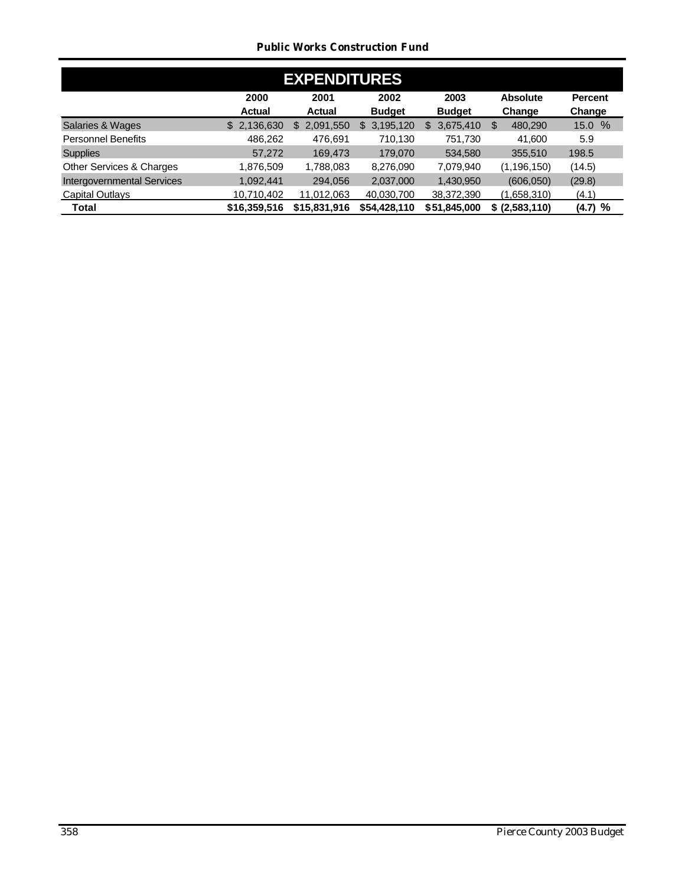#### *Public Works Construction Fund*

| <b>EXPENDITURES</b>               |                       |                       |                       |                       |                           |                          |  |  |  |  |
|-----------------------------------|-----------------------|-----------------------|-----------------------|-----------------------|---------------------------|--------------------------|--|--|--|--|
|                                   | 2000<br><b>Actual</b> | 2001<br><b>Actual</b> | 2002<br><b>Budget</b> | 2003<br><b>Budget</b> | <b>Absolute</b><br>Change | <b>Percent</b><br>Change |  |  |  |  |
| Salaries & Wages                  | 2,136,630<br>\$       | 2,091,550<br>\$.      | 3,195,120<br>\$.      | 3,675,410<br>\$       | 480.290<br>S              | 15.0 %                   |  |  |  |  |
| <b>Personnel Benefits</b>         | 486,262               | 476,691               | 710,130               | 751,730               | 41.600                    | 5.9                      |  |  |  |  |
| <b>Supplies</b>                   | 57,272                | 169.473               | 179,070               | 534,580               | 355,510                   | 198.5                    |  |  |  |  |
| Other Services & Charges          | 1,876,509             | 1,788,083             | 8,276,090             | 7,079,940             | (1, 196, 150)             | (14.5)                   |  |  |  |  |
| <b>Intergovernmental Services</b> | 1,092,441             | 294,056               | 2,037,000             | 1,430,950             | (606, 050)                | (29.8)                   |  |  |  |  |
| Capital Outlays                   | 10,710,402            | 11,012,063            | 40,030,700            | 38,372,390            | (1,658,310)               | (4.1)                    |  |  |  |  |
| Total                             | \$16,359,516          | \$15,831,916          | \$54,428,110          | \$51,845,000          | \$ (2,583,110)            | (4.7) %                  |  |  |  |  |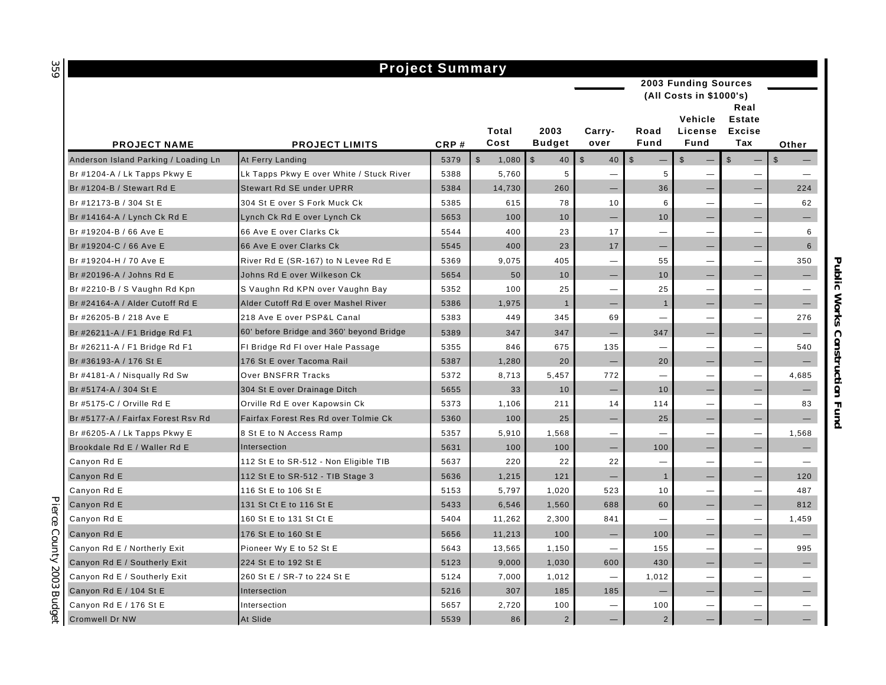#### **PROJECT NAME PROJECT LIMITS CRP # Total Cost 2003 Budget Carryover Road Fund Vehicle License Fund Real Estate Excise Tax Other** Anderson Island Parking / Loading Ln At Ferry Landing  $\begin{array}{ccc} \text{A} & \text{B} & \text{A} & \text{B} & \text{A} \\ \text{A} & \text{B} & \text{A} & \text{B} & \text{A} \\ \text{B} & \text{B} & \text{A} & \text{B} & \text{A} \end{array}$   $\begin{array}{ccc} \text{A} & \text{B} & \text{B} & \text{B} \\ \text{B} & \text{B} & \text{B} & \text{B} \end{array}$  Br #1204-A / Lk Tapps Pkwy E  $\begin{array}{c|c|c|c|c|c|c|c} \text{Lk Tapps Pkwy E over White / Stuck River} & 5388 & 5,760 & 5 & - & 5 & - & - & - \end{array}$ Br #1204-B / Stewart Rd E Stewart Rd SE under UPRR 5384 | 14,730 | 260 | - 36 | - | 224 Br #12173-B / 304 St E 304 St E over S Fork Muck Ck 5385 1 615 1 78 1 10 1 6 1 — 1 62 Br #14164-A / Lynch Ck Rd E Lynch Ck Rd E over Lynch Ck (200 Let a Logic and S653 | Contract 10 | Called A Lynch Ck Rd E over Lynch Ck (200 Let a Let a Let a Let a Let a Let a Let a Let a Let a Let a Let a Let a Let a Let Br #19204-B / 66 Ave E 66 Ave E over Clarks Ck 5544 400 23 17 — — — 6 Br #19204-C / 66 Ave E 66 Ave E over Clarks Ck 5545 400 23 17 — — — 6 Br #19204-H / 70 Ave E River Rd E (SR-167) to N Levee Rd E 5369 9,075 405 — 55 — — 350 Br #20196-A / Johns Rd E Johns Rd E over Wilkeson Ck 5654 50 10 — 10 — — — Br #2210-B / S Vaughn Rd Kpn S Vaughn Rd KPN over Vaughn Bay 5352 100 25 — 25 — — — Br #24164-A / Alder Cutoff Rd E Alder Cutoff Rd E over Mashel River 5386 1,975 1 — 1 — — — Br #26205-B / 218 Ave E 218 Ave E over PSP&L Canal 5383 449 345 69 — — — 276 Br #26211-A / F1 Bridge Rd F1  $\begin{vmatrix} 60' & \text{before Bridge} \\ 60' & \text{before Bridge} \end{vmatrix}$  beyond Bridge  $\begin{vmatrix} 5389 & 347 \\ 347 & 347 \end{vmatrix}$   $\begin{vmatrix} 347 & -1 \\ -1 & 347 \end{vmatrix}$   $\begin{vmatrix} -1 & -1 \\ -1 & -1 \end{vmatrix}$   $\begin{vmatrix} -1 & -1 \\ -1 & 34 \end{vmatrix}$ Br #26211-A / F1 Bridge Rd F1 FI Bridge Rd FI over Hale Passage 5355 846 675 135 — — — 540 Br #36193-A / 176 St E 176 St E over Tacoma Rail 5387 1,280 20 — 20 — — — Br #4181-A / Nisqually Rd Sw Over BNSFRR Tracks 5372 8,713 5,457 772 — — — 4,685 Br #5174-A / 304 St E  $\qquad \qquad$  304 St E over Drainage Ditch  $\qquad \qquad$  5655  $\qquad$  33  $\qquad$  10  $\qquad$   $\qquad$  10  $\qquad$   $\qquad$  10  $\qquad$ Br #5175-C / Orville Rd E Orville Rd E over Kapowsin Ck 5373 1,106 211 14 114 — — 83 Br #5177-A / Fairfax Forest Rsv Rd Fairfax Forest Res Rd over Tolmie Ck  $\overline{a}$  5360 100 25  $\overline{a}$   $\overline{a}$   $\overline{a}$   $\overline{a}$   $\overline{a}$   $\overline{a}$   $\overline{a}$   $\overline{a}$   $\overline{a}$   $\overline{a}$   $\overline{a}$   $\overline{a}$   $\overline{a}$   $\overline{a}$   $\$ Br #6205-A / Lk Tapps Pkwy E 8 St E to N Access Ramp 5357 5,910 1,568 — — — — 1,568 Brookdale Rd E / Waller Rd E  $\qquad$  Intersection  $\qquad \qquad$  5631 100 100  $\qquad -$  100  $\qquad -$  100  $\qquad$ Canyon Rd E 112 St E to SR-512 - Non Eligible TIB 5637 220 22 22 — — — — Canyon Rd E 112 St E to SR-512 - TIB Stage 3 5636 1,215 121 – 1 121 – 1 – 120 Canyon Rd E 116 St E to 106 St E 5153 5,797 1,020 523 10 — — 487 Canyon Rd E 131 St Ct E to 116 St E 5433 6.546 1.560 688 60 — — — 812 Canyon Rd E 160 St E to 131 St Ct E 160 St E to 131 St Ct E 160 A 250 2,300 1 2,300 841 — — — 1,459 Canyon Rd E |176 St E to 160 St E | 5656 | 11,213 | 100 | — | — | — Canyon Rd E / Northerly Exit Pioneer Wy E to 52 St E 5643 13,565 1,150 — 155 — — 995 Canyon Rd E / Southerly Exit 224 St E to 192 St E 5123 9,000 1,030 600 430  $-1$   $-1$ Canyon Rd E / Southerly Exit 260 St E / SR-7 to 224 St E  $\qquad$   $\qquad$  5124 7,000 | 1,012  $\qquad$  - | 1,012 |  $\qquad$ Canyon Rd E / 104 St E intersection 5216 185 185 185  $-$  -  $-$ Canyon Rd E / 176 St E intersection 5657 2.720 100 — 100 — 100 —  $-$ Cromwell Dr NW | At Slide | 5539 | 86 | 2 | — | — | — | — **Project Summary 2003 Funding Sources (All Costs in \$1000's)**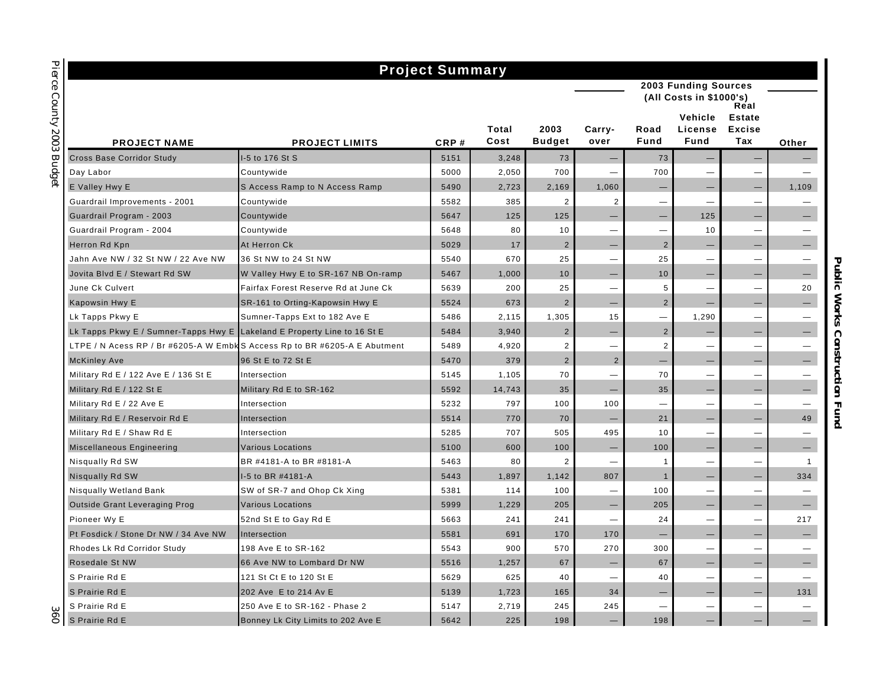|                                                                            | <b>Project Summary</b>               |      |               |                       |                          |                          |                            |                                       |                   |
|----------------------------------------------------------------------------|--------------------------------------|------|---------------|-----------------------|--------------------------|--------------------------|----------------------------|---------------------------------------|-------------------|
|                                                                            |                                      |      |               |                       |                          |                          | 2003 Funding Sources       |                                       |                   |
|                                                                            |                                      |      |               |                       |                          |                          | (All Costs in \$1000's)    | Real                                  |                   |
| <b>PROJECT NAME</b>                                                        | <b>PROJECT LIMITS</b>                | CRP# | Total<br>Cost | 2003<br><b>Budget</b> | Carry-<br>over           | Road<br>Fund             | Vehicle<br>License<br>Fund | <b>Estate</b><br><b>Excise</b><br>Tax | Other             |
| <b>Cross Base Corridor Study</b>                                           | I-5 to 176 St S                      | 5151 | 3,248         | 73                    |                          | 73                       |                            |                                       |                   |
| Day Labor                                                                  | Countywide                           | 5000 | 2,050         | 700                   |                          | 700                      |                            |                                       |                   |
| E Valley Hwy E                                                             | S Access Ramp to N Access Ramp       | 5490 | 2,723         | 2,169                 | 1,060                    | $\qquad \qquad -$        |                            | $\overline{\phantom{0}}$              | 1,109             |
| Guardrail Improvements - 2001                                              | Countywide                           | 5582 | 385           | $\overline{2}$        | $\overline{2}$           | $\overline{\phantom{0}}$ |                            | —                                     |                   |
| Guardrail Program - 2003                                                   | Countywide                           | 5647 | 125           | 125                   |                          |                          | 125                        | -                                     |                   |
| Guardrail Program - 2004                                                   | Countywide                           | 5648 | 80            | 10                    | $\overline{\phantom{0}}$ |                          | 10                         |                                       |                   |
| Herron Rd Kpn                                                              | At Herron Ck                         | 5029 | 17            | $\overline{2}$        |                          | $\overline{2}$           |                            |                                       |                   |
| Jahn Ave NW / 32 St NW / 22 Ave NW                                         | 36 St NW to 24 St NW                 | 5540 | 670           | 25                    | $\overline{\phantom{0}}$ | 25                       |                            | $\overline{\phantom{0}}$              |                   |
| Jovita Blvd E / Stewart Rd SW                                              | W Valley Hwy E to SR-167 NB On-ramp  | 5467 | 1,000         | 10                    |                          | 10                       |                            |                                       |                   |
| June Ck Culvert                                                            | Fairfax Forest Reserve Rd at June Ck | 5639 | 200           | 25                    | $\overline{\phantom{0}}$ | 5                        | $\overline{\phantom{0}}$   | $\overline{\phantom{0}}$              | 20                |
| Kapowsin Hwy E                                                             | SR-161 to Orting-Kapowsin Hwy E      | 5524 | 673           | $\overline{2}$        | $\qquad \qquad -$        | $\overline{2}$           |                            | -                                     |                   |
| Lk Tapps Pkwy E                                                            | Sumner-Tapps Ext to 182 Ave E        | 5486 | 2,115         | 1,305                 | 15                       |                          | 1,290                      |                                       |                   |
| Lk Tapps Pkwy E / Sumner-Tapps Hwy E Lakeland E Property Line to 16 St E   |                                      | 5484 | 3,940         | $\overline{2}$        | $\qquad \qquad -$        | $\overline{2}$           |                            | —                                     |                   |
| LTPE / N Acess RP / Br #6205-A W Embk S Access Rp to BR #6205-A E Abutment |                                      | 5489 | 4,920         | $\overline{2}$        |                          | $\overline{2}$           | —                          | $\overline{\phantom{0}}$              |                   |
| <b>McKinley Ave</b>                                                        | 96 St E to 72 St E                   | 5470 | 379           | $\overline{2}$        | $\overline{2}$           |                          |                            | -                                     |                   |
| Military Rd E / 122 Ave E / 136 St E                                       | Intersection                         | 5145 | 1,105         | 70                    | <u>Line</u>              | 70                       |                            | <u>—</u>                              |                   |
| Military Rd E / 122 St E                                                   | Military Rd E to SR-162              | 5592 | 14,743        | 35                    |                          | 35                       |                            |                                       |                   |
| Military Rd E / 22 Ave E                                                   | Intersection                         | 5232 | 797           | 100                   | 100                      | $\overline{\phantom{0}}$ | —                          | $\overline{\phantom{0}}$              |                   |
| Military Rd E / Reservoir Rd E                                             | Intersection                         | 5514 | 770           | 70                    |                          | 21                       |                            | -                                     | 49                |
| Military Rd E / Shaw Rd E                                                  | Intersection                         | 5285 | 707           | 505                   | 495                      | 10                       | $\overline{\phantom{0}}$   |                                       |                   |
| Miscellaneous Engineering                                                  | <b>Various Locations</b>             | 5100 | 600           | 100                   |                          | 100                      |                            |                                       |                   |
| Nisqually Rd SW                                                            | BR #4181-A to BR #8181-A             | 5463 | 80            | $\overline{2}$        | $\overline{\phantom{0}}$ | $\overline{1}$           | —                          | -                                     | $\overline{1}$    |
| Nisqually Rd SW                                                            | I-5 to BR #4181-A                    | 5443 | 1,897         | 1,142                 | 807                      | $\mathbf{1}$             |                            |                                       | 334               |
| Nisqually Wetland Bank                                                     | SW of SR-7 and Ohop Ck Xing          | 5381 | 114           | 100                   | $\overline{\phantom{a}}$ | 100                      | $\overline{\phantom{0}}$   | -                                     |                   |
| <b>Outside Grant Leveraging Prog</b>                                       | <b>Various Locations</b>             | 5999 | 1,229         | 205                   | $\qquad \qquad -$        | 205                      | —                          | —                                     | $\qquad \qquad -$ |
| Pioneer Wy E                                                               | 52nd St E to Gay Rd E                | 5663 | 241           | 241                   | $\overline{\phantom{0}}$ | 24                       | $\overline{\phantom{0}}$   | $\overline{\phantom{0}}$              | 217               |
| Pt Fosdick / Stone Dr NW / 34 Ave NW                                       | Intersection                         | 5581 | 691           | 170                   | 170                      |                          |                            |                                       | —                 |
| Rhodes Lk Rd Corridor Study                                                | 198 Ave E to SR-162                  | 5543 | 900           | 570                   | 270                      | 300                      |                            |                                       |                   |
| Rosedale St NW                                                             | 66 Ave NW to Lombard Dr NW           | 5516 | 1,257         | 67                    |                          | 67                       |                            |                                       |                   |
| S Prairie Rd E                                                             | 121 St Ct E to 120 St E              | 5629 | 625           | 40                    | $\overline{\phantom{0}}$ | 40                       |                            |                                       |                   |
| S Prairie Rd E                                                             | 202 Ave E to 214 Av E                | 5139 | 1,723         | 165                   | 34                       |                          | —                          | -                                     | 131               |
| S Prairie Rd E                                                             | 250 Ave E to SR-162 - Phase 2        | 5147 | 2,719         | 245                   | 245                      |                          | —                          | —                                     |                   |
| S Prairie Rd E                                                             | Bonney Lk City Limits to 202 Ave E   | 5642 | 225           | 198                   |                          | 198                      |                            | -                                     |                   |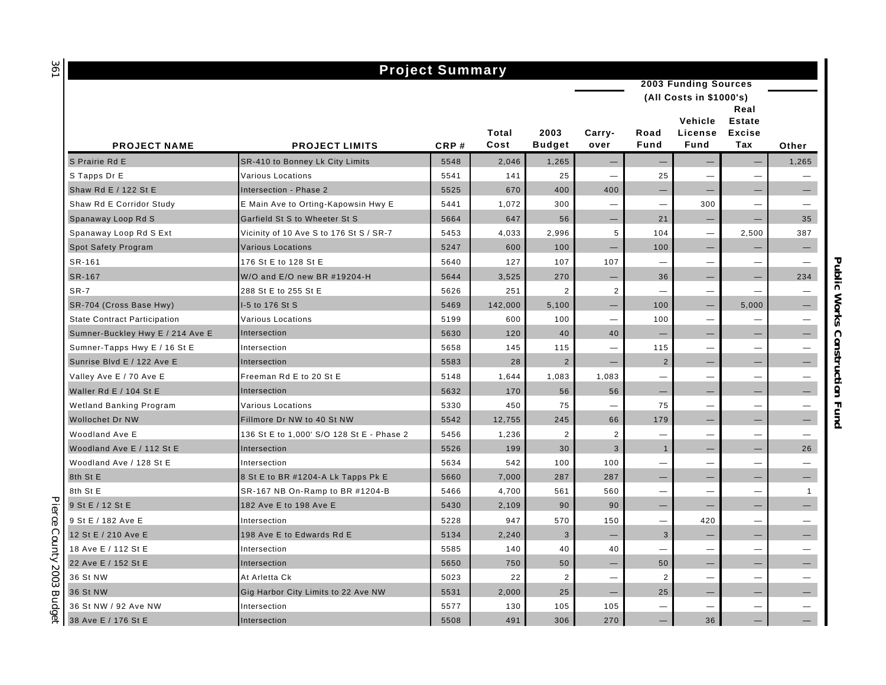# **Project Summary**

| <b>2003 Funding Sources</b> |  |
|-----------------------------|--|

|  | (All Costs in \$1000's) |  |
|--|-------------------------|--|

| <b>PROJECT NAME</b>                 | <b>PROJECT LIMITS</b>                     | CRP# | Total<br>Cost | 2003<br><b>Budget</b> | Carry-<br>over                | Road<br>Fund             | Vehicle<br>License<br>Fund | Real<br><b>Estate</b><br><b>Excise</b><br>Tax | Other             |
|-------------------------------------|-------------------------------------------|------|---------------|-----------------------|-------------------------------|--------------------------|----------------------------|-----------------------------------------------|-------------------|
| S Prairie Rd E                      | SR-410 to Bonney Lk City Limits           | 5548 | 2,046         | 1,265                 |                               |                          | -                          |                                               | 1,265             |
| S Tapps Dr E                        | Various Locations                         | 5541 | 141           | 25                    | -                             | 25                       | —                          | $\overline{\phantom{0}}$                      |                   |
| Shaw Rd E / 122 St E                | Intersection - Phase 2                    | 5525 | 670           | 400                   | 400                           |                          |                            |                                               |                   |
| Shaw Rd E Corridor Study            | E Main Ave to Orting-Kapowsin Hwy E       | 5441 | 1,072         | 300                   | -                             | $\overline{\phantom{0}}$ | 300                        | $\overline{\phantom{0}}$                      |                   |
| Spanaway Loop Rd S                  | Garfield St S to Wheeter St S             | 5664 | 647           | 56                    | —                             | 21                       | $\overline{\phantom{0}}$   |                                               | 35                |
| Spanaway Loop Rd S Ext              | Vicinity of 10 Ave S to 176 St S / SR-7   | 5453 | 4,033         | 2,996                 | 5                             | 104                      | $\overline{\phantom{0}}$   | 2,500                                         | 387               |
| Spot Safety Program                 | <b>Various Locations</b>                  | 5247 | 600           | 100                   | —                             | 100                      | —                          | $\overline{\phantom{0}}$                      | $\qquad \qquad -$ |
| SR-161                              | 176 St E to 128 St E                      | 5640 | 127           | 107                   | 107                           |                          |                            | $\overline{\phantom{0}}$                      |                   |
| SR-167                              | W/O and E/O new BR #19204-H               | 5644 | 3,525         | 270                   | $\qquad \qquad -$             | 36                       | —                          | $\qquad \qquad -$                             | 234               |
| $SR-7$                              | 288 St E to 255 St E                      | 5626 | 251           | $\overline{2}$        | $\overline{2}$                |                          | -                          |                                               |                   |
| SR-704 (Cross Base Hwy)             | I-5 to 176 St S                           | 5469 | 142,000       | 5,100                 | —                             | 100                      | -                          | 5,000                                         |                   |
| <b>State Contract Participation</b> | <b>Various Locations</b>                  | 5199 | 600           | 100                   | $\overline{\phantom{0}}$      | 100                      |                            |                                               |                   |
| Sumner-Buckley Hwy E / 214 Ave E    | Intersection                              | 5630 | 120           | 40                    | 40                            |                          | -                          |                                               |                   |
| Sumner-Tapps Hwy E / 16 St E        | Intersection                              | 5658 | 145           | 115                   | $\overbrace{\phantom{12333}}$ | 115                      |                            | $\overline{\phantom{0}}$                      |                   |
| Sunrise Blvd E / 122 Ave E          | Intersection                              | 5583 | 28            | $\overline{2}$        | $\overline{\phantom{a}}$      | $\overline{2}$           | $\overline{\phantom{0}}$   |                                               |                   |
| Valley Ave E / 70 Ave E             | Freeman Rd E to 20 St E                   | 5148 | 1,644         | 1,083                 | 1,083                         | —                        |                            | $\overline{\phantom{0}}$                      |                   |
| Waller Rd E / 104 St E              | Intersection                              | 5632 | 170           | 56                    | 56                            |                          |                            |                                               |                   |
| Wetland Banking Program             | <b>Various Locations</b>                  | 5330 | 450           | 75                    | $\overline{\phantom{0}}$      | 75                       |                            | $\overline{\phantom{0}}$                      |                   |
| Wollochet Dr NW                     | Fillmore Dr NW to 40 St NW                | 5542 | 12,755        | 245                   | 66                            | 179                      |                            |                                               |                   |
| Woodland Ave E                      | 136 St E to 1,000' S/O 128 St E - Phase 2 | 5456 | 1,236         | $\overline{2}$        | 2                             | —                        | -                          | $\overline{\phantom{0}}$                      |                   |
| Woodland Ave E / 112 St E           | Intersection                              | 5526 | 199           | 30                    | 3                             | $\mathbf{1}$             | $\overline{\phantom{m}}$   |                                               | 26                |
| Woodland Ave / 128 St E             | Intersection                              | 5634 | 542           | 100                   | 100                           |                          | $\overline{\phantom{0}}$   | $\overline{\phantom{0}}$                      |                   |
| 8th St E                            | 8 St E to BR #1204-A Lk Tapps Pk E        | 5660 | 7,000         | 287                   | 287                           | $\qquad \qquad -$        | -                          | $\qquad \qquad -$                             |                   |
| 8th St E                            | SR-167 NB On-Ramp to BR #1204-B           | 5466 | 4,700         | 561                   | 560                           | —                        | $\overline{\phantom{0}}$   | $\overline{\phantom{0}}$                      | $\overline{1}$    |
| 9 St E / 12 St E                    | 182 Ave E to 198 Ave E                    | 5430 | 2,109         | 90                    | 90                            |                          | -                          |                                               |                   |
| 9 St E / 182 Ave E                  | Intersection                              | 5228 | 947           | 570                   | 150                           | $\overline{\phantom{0}}$ | 420                        | $\overbrace{\phantom{1232211}}$               |                   |
| 12 St E / 210 Ave E                 | 198 Ave E to Edwards Rd E                 | 5134 | 2,240         | 3                     | $\qquad \qquad -$             | 3                        | -                          | $\qquad \qquad -$                             |                   |
| 18 Ave E / 112 St E                 | Intersection                              | 5585 | 140           | 40                    | 40                            | —                        | -                          | $\overbrace{\phantom{12322111}}$              |                   |
| 22 Ave E / 152 St E                 | Intersection                              | 5650 | 750           | 50                    | $\overline{\phantom{m}}$      | 50                       |                            |                                               |                   |
| 36 St NW                            | At Arletta Ck                             | 5023 | 22            | 2                     | $\overline{\phantom{0}}$      | 2                        | $\overline{\phantom{0}}$   |                                               |                   |
| 36 St NW                            | Gig Harbor City Limits to 22 Ave NW       | 5531 | 2,000         | 25                    |                               | 25                       | -                          |                                               |                   |
| 36 St NW / 92 Ave NW                | Intersection                              | 5577 | 130           | 105                   | 105                           |                          | -                          | $\overline{\phantom{0}}$                      |                   |
| 38 Ave E / 176 St E                 | Intersection                              | 5508 | 491           | 306                   | 270                           |                          | 36                         |                                               |                   |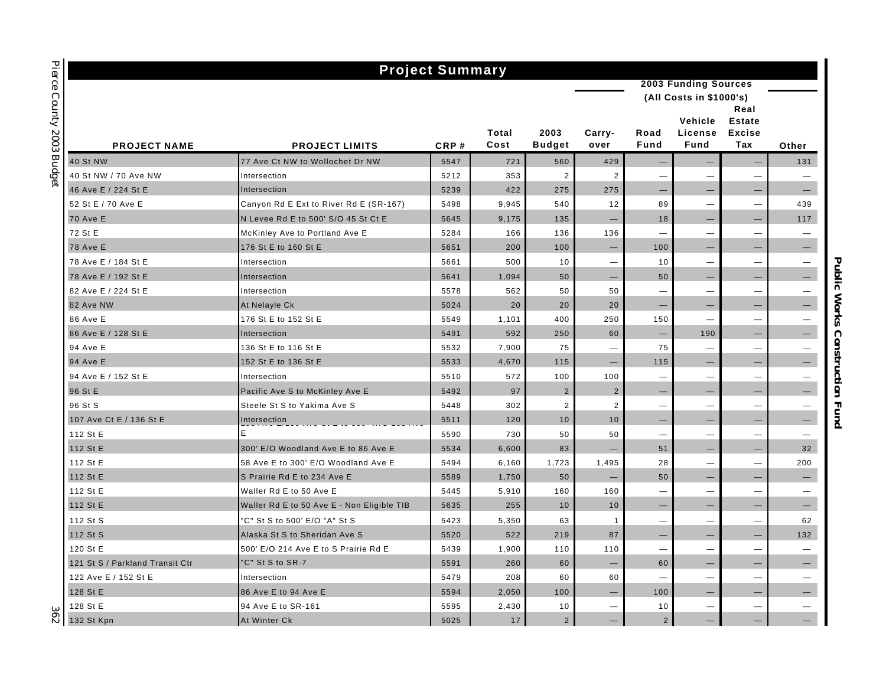| <b>Project Summary</b>          |                                            |      |               |                       |                          |                          |                                   |                                               |                          |  |  |
|---------------------------------|--------------------------------------------|------|---------------|-----------------------|--------------------------|--------------------------|-----------------------------------|-----------------------------------------------|--------------------------|--|--|
|                                 |                                            |      |               |                       |                          |                          | <b>2003 Funding Sources</b>       |                                               |                          |  |  |
|                                 |                                            |      |               |                       |                          |                          | (All Costs in \$1000's)           |                                               |                          |  |  |
| <b>PROJECT NAME</b>             | <b>PROJECT LIMITS</b>                      | CRP# | Total<br>Cost | 2003<br><b>Budget</b> | Carry-<br>over           | Road<br>Fund             | Vehicle<br>License<br><b>Fund</b> | Real<br><b>Estate</b><br><b>Excise</b><br>Tax | Other                    |  |  |
| <b>40 St NW</b>                 | 77 Ave Ct NW to Wollochet Dr NW            | 5547 | 721           | 560                   | 429                      |                          |                                   | -                                             | 131                      |  |  |
| 40 St NW / 70 Ave NW            | Intersection                               | 5212 | 353           | $\overline{2}$        | $\overline{2}$           | $\overline{\phantom{0}}$ | —                                 | -                                             |                          |  |  |
| 46 Ave E / 224 St E             | Intersection                               | 5239 | 422           | 275                   | 275                      |                          |                                   |                                               |                          |  |  |
| 52 St E / 70 Ave E              | Canyon Rd E Ext to River Rd E (SR-167)     | 5498 | 9,945         | 540                   | 12                       | 89                       | $\overline{\phantom{0}}$          |                                               | 439                      |  |  |
| <b>70 Ave E</b>                 | N Levee Rd E to 500' S/O 45 St Ct E        | 5645 | 9,175         | 135                   | $\qquad \qquad -$        | 18                       | $\overline{\phantom{0}}$          | $\overline{\phantom{0}}$                      | 117                      |  |  |
| 72 St E                         | McKinley Ave to Portland Ave E             | 5284 | 166           | 136                   | 136                      | $\overline{\phantom{0}}$ | $\overline{\phantom{0}}$          | $\overline{\phantom{0}}$                      | $\overline{\phantom{m}}$ |  |  |
| <b>78 Ave E</b>                 | 176 St E to 160 St E                       | 5651 | 200           | 100                   | $\overline{\phantom{m}}$ | 100                      |                                   | -                                             | $\overline{\phantom{0}}$ |  |  |
| 78 Ave E / 184 St E             | Intersection                               | 5661 | 500           | 10                    | $\overline{\phantom{m}}$ | 10                       | $\overline{\phantom{0}}$          | -                                             |                          |  |  |
| 78 Ave E / 192 St E             | Intersection                               | 5641 | 1,094         | 50                    | $\overline{\phantom{m}}$ | 50                       |                                   | -                                             |                          |  |  |
| 82 Ave E / 224 St E             | Intersection                               | 5578 | 562           | 50                    | 50                       |                          |                                   |                                               |                          |  |  |
| 82 Ave NW                       | At Nelayle Ck                              | 5024 | 20            | 20                    | 20                       | -                        | —                                 | -                                             | —                        |  |  |
| 86 Ave E                        | 176 St E to 152 St E                       | 5549 | 1,101         | 400                   | 250                      | 150                      | -                                 | $\overline{\phantom{0}}$                      |                          |  |  |
| 86 Ave E / 128 St E             | Intersection                               | 5491 | 592           | 250                   | 60                       |                          | 190                               | -                                             |                          |  |  |
| 94 Ave E                        | 136 St E to 116 St E                       | 5532 | 7,900         | 75                    | $\overline{\phantom{0}}$ | 75                       |                                   |                                               |                          |  |  |
| 94 Ave E                        | 152 St E to 136 St E                       | 5533 | 4,670         | 115                   | $\qquad \qquad -$        | 115                      | $\overline{\phantom{0}}$          | $\overline{\phantom{0}}$                      | $\overline{\phantom{0}}$ |  |  |
| 94 Ave E / 152 St E             | Intersection                               | 5510 | 572           | 100                   | 100                      | $\overline{\phantom{0}}$ | $\overline{\phantom{0}}$          | $\overline{\phantom{0}}$                      | $\overline{\phantom{m}}$ |  |  |
| 96 St E                         | Pacific Ave S to McKinley Ave E            | 5492 | 97            | $\overline{2}$        | $\overline{2}$           | $\qquad \qquad -$        | —                                 | $\overline{\phantom{0}}$                      | $-$                      |  |  |
| 96 St S                         | Steele St S to Yakima Ave S                | 5448 | 302           | $\overline{2}$        | $\overline{2}$           | $\overline{\phantom{0}}$ | $\overline{\phantom{0}}$          | $\overline{\phantom{0}}$                      |                          |  |  |
| 107 Ave Ct E / 136 St E         | Intersection                               | 5511 | 120           | 10                    | 10                       |                          |                                   | -                                             |                          |  |  |
| 112 St E                        | E                                          | 5590 | 730           | 50                    | 50                       |                          |                                   |                                               |                          |  |  |
| 112 St E                        | 300' E/O Woodland Ave E to 86 Ave E        | 5534 | 6,600         | 83                    | $\overline{\phantom{m}}$ | 51                       | —                                 | —                                             | 32                       |  |  |
| 112 St E                        | 58 Ave E to 300' E/O Woodland Ave E        | 5494 | 6,160         | 1,723                 | 1,495                    | 28                       | $\overline{\phantom{0}}$          | $\overline{\phantom{0}}$                      | 200                      |  |  |
| 112 St E                        | S Prairie Rd E to 234 Ave E                | 5589 | 1,750         | 50                    |                          | 50                       |                                   | -                                             | —                        |  |  |
| 112 St E                        | Waller Rd E to 50 Ave E                    | 5445 | 5,910         | 160                   | 160                      |                          |                                   | $\overline{\phantom{0}}$                      |                          |  |  |
| 112 St E                        | Waller Rd E to 50 Ave E - Non Eligible TIB | 5635 | 255           | 10                    | 10                       | $\equiv$                 |                                   | $\overline{\phantom{0}}$                      | $-$                      |  |  |
| 112 St S                        | "C" St S to 500' E/O "A" St S              | 5423 | 5,350         | 63                    | $\mathbf{1}$             | $\overline{\phantom{0}}$ | $\overline{\phantom{0}}$          | $\overline{\phantom{0}}$                      | 62                       |  |  |
| 112 St S                        | Alaska St S to Sheridan Ave S              | 5520 | 522           | 219                   | 87                       | $\qquad \qquad -$        | -                                 | $\overline{\phantom{0}}$                      | 132                      |  |  |
| 120 St E                        | 500' E/O 214 Ave E to S Prairie Rd E       | 5439 | 1,900         | 110                   | 110                      |                          | —                                 |                                               |                          |  |  |
| 121 St S / Parkland Transit Ctr | "C" St S to SR-7                           | 5591 | 260           | 60                    | $\overline{\phantom{m}}$ | 60                       |                                   | -                                             |                          |  |  |
| 122 Ave E / 152 St E            | Intersection                               | 5479 | 208           | 60                    | 60                       |                          |                                   |                                               |                          |  |  |
| 128 St E                        | 86 Ave E to 94 Ave E                       | 5594 | 2,050         | 100                   | $\qquad \qquad -$        | 100                      | —                                 | -                                             | —                        |  |  |
| 128 St E                        | 94 Ave E to SR-161                         | 5595 | 2,430         | 10                    | $\overline{\phantom{m}}$ | 10                       | $\overline{\phantom{0}}$          | -                                             | $\overline{\phantom{0}}$ |  |  |
| 132 St Kpn                      | At Winter Ck                               | 5025 | 17            | $\overline{2}$        | $\qquad \qquad -$        | $\overline{2}$           | —                                 | —                                             |                          |  |  |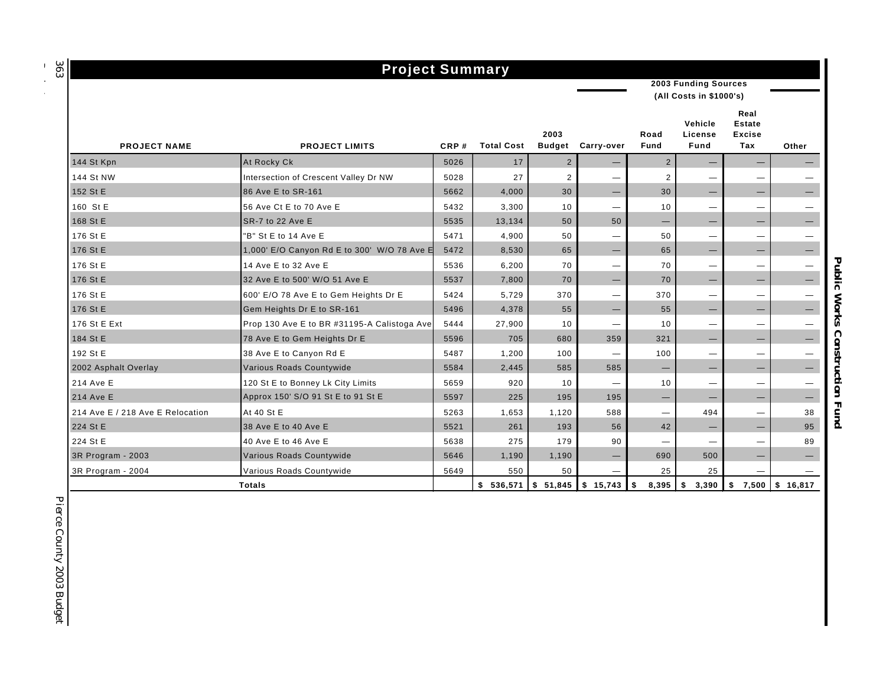*363 Budget*

# **Project Summary**

**2003 Funding Sources**

**(All Costs in \$1000's)**

| <b>PROJECT NAME</b>              | <b>PROJECT LIMITS</b>                       | CRP# | <b>Total Cost</b>                  | 2003<br><b>Budget</b> | Carry-over               | Road<br>Fund             | Vehicle<br>License<br>Fund      | Real<br><b>Estate</b><br><b>Excise</b><br>Tax | Other                           |
|----------------------------------|---------------------------------------------|------|------------------------------------|-----------------------|--------------------------|--------------------------|---------------------------------|-----------------------------------------------|---------------------------------|
| 144 St Kpn                       | At Rocky Ck                                 | 5026 | 17                                 | 2                     | $\qquad \qquad -$        | $\overline{2}$           |                                 | -                                             |                                 |
| 144 St NW                        | Intersection of Crescent Valley Dr NW       | 5028 | 27                                 | $\overline{2}$        |                          | $\overline{2}$           | $\overline{\phantom{m}}$        |                                               |                                 |
| 152 St E                         | 86 Ave E to SR-161                          | 5662 | 4,000                              | 30                    | $\qquad \qquad -$        | 30                       |                                 |                                               |                                 |
| 160 St E                         | 56 Ave Ct E to 70 Ave E                     | 5432 | 3,300                              | 10                    | $\overline{\phantom{0}}$ | 10                       | $\hspace{0.1mm}-\hspace{0.1mm}$ | $\hspace{0.1mm}-\hspace{0.1mm}$               |                                 |
| 168 St E                         | SR-7 to 22 Ave E                            | 5535 | 13,134                             | 50                    | 50                       |                          |                                 |                                               |                                 |
| 176 St E                         | "B" St E to 14 Ave E                        | 5471 | 4,900                              | 50                    | —                        | 50                       | $\overline{\phantom{m}}$        | $\overline{\phantom{m}}$                      |                                 |
| 176 St E                         | 1,000' E/O Canyon Rd E to 300' W/O 78 Ave E | 5472 | 8,530                              | 65                    | $\qquad \qquad -$        | 65                       |                                 | $\overline{\phantom{m}}$                      | $\hspace{0.1mm}-\hspace{0.1mm}$ |
| 176 St E                         | 14 Ave E to 32 Ave E                        | 5536 | 6,200                              | 70                    | —                        | 70                       | $\overline{\phantom{0}}$        | $\hspace{0.1mm}-\hspace{0.1mm}$               |                                 |
| 176 St E                         | 32 Ave E to 500' W/O 51 Ave E               | 5537 | 7,800                              | 70                    | $\overline{\phantom{0}}$ | 70                       | $\hspace{0.1mm}-\hspace{0.1mm}$ | $\qquad \qquad -$                             |                                 |
| 176 St E                         | 600' E/O 78 Ave E to Gem Heights Dr E       | 5424 | 5,729                              | 370                   | $\overline{\phantom{0}}$ | 370                      | $\qquad \qquad -$               | $\hspace{0.1mm}-\hspace{0.1mm}$               |                                 |
| 176 St E                         | Gem Heights Dr E to SR-161                  | 5496 | 4,378                              | 55                    | $\qquad \qquad -$        | 55                       | $\qquad \qquad -$               | $\qquad \qquad -$                             | $\qquad \qquad -$               |
| 176 St E Ext                     | Prop 130 Ave E to BR #31195-A Calistoga Ave | 5444 | 27,900                             | 10                    | $\overline{\phantom{m}}$ | 10                       | $\overline{\phantom{m}}$        | $\overline{\phantom{m}}$                      |                                 |
| 184 St E                         | 78 Ave E to Gem Heights Dr E                | 5596 | 705                                | 680                   | 359                      | 321                      | $\qquad \qquad \longleftarrow$  |                                               |                                 |
| 192 St E                         | 38 Ave E to Canyon Rd E                     | 5487 | 1,200                              | 100                   | —                        | 100                      | $\overline{\phantom{m}}$        | $\overline{\phantom{m}}$                      |                                 |
| 2002 Asphalt Overlay             | Various Roads Countywide                    | 5584 | 2,445                              | 585                   | 585                      | $\overline{\phantom{m}}$ |                                 |                                               |                                 |
| 214 Ave E                        | 120 St E to Bonney Lk City Limits           | 5659 | 920                                | 10                    | —                        | 10                       | $\overline{\phantom{0}}$        | $\hspace{0.1mm}-\hspace{0.1mm}$               |                                 |
| 214 Ave E                        | Approx 150' S/O 91 St E to 91 St E          | 5597 | 225                                | 195                   | 195                      | $\overline{\phantom{0}}$ | $\qquad \qquad \longleftarrow$  | $\overline{\phantom{m}}$                      | $\hspace{0.1mm}-\hspace{0.1mm}$ |
| 214 Ave E / 218 Ave E Relocation | At 40 St E                                  | 5263 | 1,653                              | 1,120                 | 588                      | —                        | 494                             | $\qquad \qquad \longleftarrow$                | 38                              |
| 224 St E                         | 38 Ave E to 40 Ave E                        | 5521 | 261                                | 193                   | 56                       | 42                       |                                 | $\hspace{0.1mm}-\hspace{0.1mm}$               | 95                              |
| 224 St E                         | 40 Ave E to 46 Ave E                        | 5638 | 275                                | 179                   | 90                       |                          | $\overline{\phantom{m}}$        | $\qquad \qquad \longleftarrow$                | 89                              |
| 3R Program - 2003                | Various Roads Countywide                    | 5646 | 1,190                              | 1,190                 | $\qquad \qquad -$        | 690                      | 500                             | $\qquad \qquad -$                             | $\qquad \qquad -$               |
| 3R Program - 2004                | Various Roads Countywide                    | 5649 | 550                                | 50                    | $\overline{\phantom{0}}$ | 25                       | 25                              |                                               |                                 |
|                                  | <b>Totals</b>                               |      | $$536,571$ $$51,845$ $$15,743$ $$$ |                       |                          | $8,395$ \ \$             | 3,390                           | \$<br>7,500                                   | \$16,817                        |